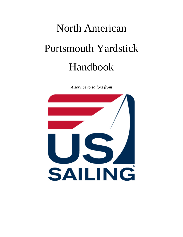# North American Portsmouth Yardstick Handbook

*A service to sailors from* 

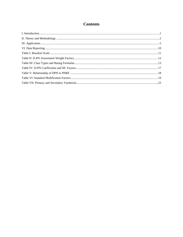# **Contents**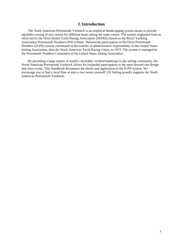# **I. Introduction**

<span id="page-2-0"></span>The North American Portsmouth Yardstick is an empirical handicapping system meant to provide equitable scoring of race results for different boats sailing the same course. The system originated from an effort led by the Dixie Inland Yacht Racing Association (DIYRA) based on the Royal Yachting Association Portsmouth Numbers (PN) scheme. Nationwide participation in the Dixie Portsmouth Numbers (D-PN) system culminated in the transfer of administrative responsibility to the United States Sailing Association, then the North American Yacht Racing Union, in 1973. The system is managed by the Portsmouth Numbers Committee of the United States Sailing Association.

By providing a large variety of readily calculable, verified handicaps to the sailing community, the North American Portsmouth Yardstick allows for expanded participation in the sport beyond one-design and class events. This Handbook documents the theory and application of the D-PN system. We encourage you to find a local fleet or start a race series yourself! US Sailing proudly supports the North American Portsmouth Yardstick.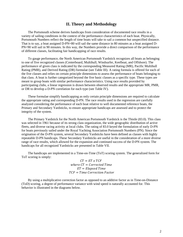## **II. Theory and Methodology**

<span id="page-3-0"></span>The Portsmouth scheme derives handicaps from consideration of documented race results in a variety of sailing conditions in the context of the performance characteristics of each boat. Physically, Portsmouth Numbers reflect the length of time boats will take to sail a common but unspecified distance. That is to say, a boat assigned D-PN=80 will sail the same distance in 80 minutes as a boat assigned D-PN=90 will sail in 90 minutes. In this way, the Numbers provide a direct comparison of the performance of different classes, facilitating fair handicapping of race results.

To gauge performance, the North American Portsmouth Yardstick recognizes all boats as belonging to one of five recognized classes (Centerboard, Multihull, Windsurfer, Keelboat, and Offshore). The performance of given class is indicated by the corresponding Measured Rating (MR), Pacific Multihull Rating (PMR), and Derived Rating (DR) formulae (see Table III). A rating formula is offered for each of the five classes and relies on certain principle dimensions to assess the performance of boats belonging to that class. A boat is further categorized beyond the five basic classes as a specific type. These types are meant to group boats with similar performance characteristics. Using race results provided by participating clubs, a linear regression is drawn between observed results and the appropriate MR, PMR, or DR to develop a D-PN correlation for each type (see Table IV).

These formulae simplify handicapping as only certain principle dimensions are required to calculate the appropriate rating and corresponding D-PN. The race results used in the regression are carefully analyzed considering the performance of each boat relative to well documented reference boats, the Primary and Secondary Yardsticks, to ensure appropriate handicaps are assessed and to protect the integrity of the system.

The Primary Yardstick for the North American Portsmouth Yardstick is the Thistle (83.0). This class was selected in 1961 because of its strong class organization, the wide geographic distribution of active fleets, and diverse racing activity at local clubs. The rating of 83.0 keyed the formulation of early D-PN for boats previously sailed under the Royal Yachting Association Portsmouth Numbers (PN). Since the origination of the D-PN system, several Secondary Yardsticks have been defined as classes with highly repeatable D-PN handicaps. These Secondary Yardsticks are useful in the consideration of a more diverse range of race results, which allowed for the expansion and continued success of the D-PN system. The handicaps for all recognized Yardsticks are presented in Table VII.

The handicaps are implemented in a Time-on-Time (ToT) scoring system. The generalized form for ToT scoring is simply:

> $CT = ET \times TCF$ where  $CT = Corrected Time$  $ET = Elansed Time$  $TCF = Time$  Correction Factor

By using a multiplicative correction factor as opposed to an additive factor as in Time-on-Distance (ToD) scoring, a degree of performance variance with wind speed is naturally accounted for. This behavior is illustrated in the diagrams below.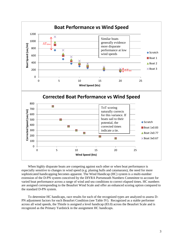

When highly disparate boats are competing against each other or when boat performance is especially sensitive to changes in wind speed (e.g. planing hulls and catamarans), the need for more sophisticated handicapping becomes apparent. The Wind Handicap (HC) system is a multi-number extension of the D-PN system conceived by the DIYRA Portsmouth Numbers Committee to account for varied boat performance across a range of wind and sea conditions to correct elapsed times. HC numbers are assigned corresponding to the Beaufort Wind Scale and offer an enhanced scoring option compared to the standard D-PN system.

To determine HC handicaps, race results for each of the recognized types are analyzed to assess D-PN adjustment factors for each Beaufort Condition (see Table IV). Recognized as a stable performer across all wind speeds, the Thistle is assigned a level handicap (83.0) across the Beaufort Scale and is recognized as the Primary Yardstick in the assignment HC handicaps.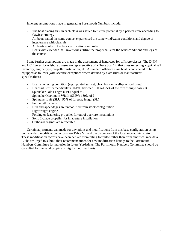Inherent assumptions made in generating Portsmouth Numbers include:

- The boat placing first in each class was sailed to its true potential by a perfect crew according to flawless strategy
- All boats sailed the same course, experienced the same wind/water conditions and degree of interference with clear air
- All boats conform to class specifications and rules
- Boats with extended sail inventories utilize the proper sails for the wind conditions and legs of the course

Some further assumptions are made in the assessment of handicaps for offshore classes. The D-PN and HC figures for offshore classes are representative of a "base boat" in that class reflecting a typical sail inventory, engine type, propeller installation, etc. A standard offshore class boat is considered to be equipped as follows (with specific exceptions where defined by class rules or manufacturer specifications):

- Boat is in racing condition (e.g. updated sail set, clean bottom, well-practiced crew)
- Headsail Luff Perpendicular (HLP%) between 150%-155% of the fore triangle base (J)
- Spinnaker Pole Length (SPL) equal to J
- Spinnaker Maximum Width (SMW) 180% of J
- Spinnaker Luff (SLU) 95% of forestay length (FL)
- Full length battens
- Hull and appendages are unmodified from stock configuration
- Lightweight engine
- Folding or feathering propeller for out of aperture installations
- Solid 2-blade propeller for in aperture installation
- Outboard engines are retractable

Certain adjustments can made for deviations and modifications from this base configuration using both standard modification factors (see Table VI) and the discretion of the local race administrator. These modification factors have been derived from rating formulae rather than from empirical race data. Clubs are urged to submit their recommendations for new modification listings to the Portsmouth Numbers Committee for inclusion in future Yardsticks. The Portsmouth Numbers Committee should be consulted for the handicapping of highly modified boats.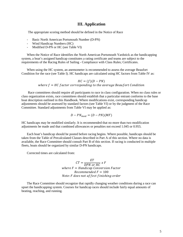### **III. Application**

<span id="page-6-0"></span>The appropriate scoring method should be defined in the Notice of Race

- Basic North American Portsmouth Number (D-PN)
- Wind Handicap Numbers (HC)
- Modified D-PN or HC (see Table VI)

When the Notice of Race identifies the North American Portsmouth Yardstick as the handicapping system, a boat's assigned handicap constitutes a rating certificate and teams are subject to the requirements of the Racing Rules of Sailing - Compliance with Class Rules; Certificates.

When using the HC system, an anemometer is recommended to assess the average Beaufort Condition for the race (see Table I). HC handicaps are calculated using HC factors from Table IV as:

#### $HC = (f)(D - PN)$ where  $f = HC$  factor corresponding to the average Beaufort Condition

Race committees should require all participants to race in class configuration. When no class rules or class organization exists, race committees should establish that a particular entrant conforms to the base boat description outlined in this Handbook. Where modifications exist, corresponding handicap adjustments should be assessed by standard factors (see Table VI) or by the judgment of the Race Committee. Standard adjustments from Table VI may be applied as:

$$
D - PN_{mod} = (D - PN)(MF)
$$

HC handicaps may be modified similarly. It is recommended that no more than two modification adjustments be made and that combined allowances or penalties not exceed 1.045 or 0.955.

Each boat's handicap should be posted before racing begins. Where possible, handicaps should be taken from the Table of Precalculated Classes described in Part A of this section. Where no data is available, the Race Committee should consult Part B of this section. If racing is conducted in multiple fleets, boats should be organized by similar D-PN handicaps.

Corrected times are calculated from:

 $CT = \frac{ET}{DPN \ or \ HC} \ x$ where  $F =$  Handicap Conversion Factor  $Recommended F = 100$ Note: F does not affect finishing order

The Race Committee should recognize that rapidly changing weather conditions during a race can upset the handicapping system. Courses for handicap races should include fairly equal amounts of beating, reaching, and running.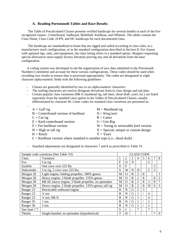#### **A. Reading Portsmouth Tables and Race Results**

The Table of Precalculated Classes presents verified handicaps for several models in each of the five recognized classes– Centerboard, Sailboard, Multihull, Keelboat, and Offshore. The tables contain the Class Name, Class Code, D-PN, and HC handicaps for each documented class.

The handicaps are standardized to boats that are rigged and sailed according to class rules, in a manufacturer stock configuration, or in the standard configuration described in Section II. For classes with optional rigs, sails, and equipment, the class listing refers to a standard option. Skippers requesting special allowances must supply factory literature proving any and all deviations from the base configuration.

A coding system was developed to aid the organization of race data submitted to the Portsmouth Numbers Committee and account for these various configurations. These codes should be used when recording race results to ensure data is processed appropriately. The codes are designated as eight character alpha-numeric fields with the following guidelines:

- Classes are generally identified by two to six alpha-numeric characters

-

- The trailing characters are used to designate deviations from in class design and sail plan
- Certain popular class variations (Mk #, masthead rig, tall mast, shoal draft, yawl, etc.) are listed separately from the standard class option in the Tables of Precalculated Classes, usually differentiated by character #6. Letter codes for standard class variations are presented as:

| $A = Gaff rig$                                                            | $M =$ Masthead rig                      |
|---------------------------------------------------------------------------|-----------------------------------------|
| $B =$ Centerboard version of keelboat                                     | $N =$ Wing keel                         |
| $C = Cat$ rig                                                             | $R =$ Cutter                            |
| $E = Keel-centerboard version$                                            | $U = Uni-Rig$                           |
| $F = Fin$ keelboat version                                                | $W =$ Swing or retractable keel version |
| $H = High$ or tall rig                                                    | $X = Special$ , unique or custom design |
| $K =$ Ketch                                                               | $Y = Y$ awl                             |
| $L =$ Keelboat version where standard is another type (i.e., shoal draft) |                                         |

- Standard adjustments are designated in characters 7 and 8 as prescribed in Table VI.

| Sample code variations (See Table VI): |                                                       |             | <b>CLASS CODE</b> |                          |                |   |                |        |                |
|----------------------------------------|-------------------------------------------------------|-------------|-------------------|--------------------------|----------------|---|----------------|--------|----------------|
| Class                                  | Variation                                             |             | 2                 | 3                        | 4              | 5 | 6              | 7      | 8              |
| <b>Fox</b>                             | Cat rig                                               | F           | O                 | X                        |                |   | C              |        |                |
| Sunfish                                | One crew over 225 lbs.                                | S           | F                 |                          |                |   |                | 3      |                |
| Sidewinder                             | Cat rig, 2 crew over 225 lbs.                         | S           | W                 | N                        | D              |   | $\overline{C}$ | 3      |                |
| Morgan 28                              | Light engine, folding propeller, 180% genoa           | M           | O                 | $\mathbf R$              | $\overline{2}$ | 8 |                |        |                |
| Morgan 28                              | Heavy engine, 3 blade propeller, 155% genoa           | M           | O                 | $\mathbb{R}$             | 2              | 8 |                | 8      | $\overline{2}$ |
| Morgan 28                              | Mk III, heavy engine, 3 blade propeller, no spinnaker | M           | O                 | $\mathbf R$              | $\overline{2}$ | 8 | 3              | 8      | $\ast$         |
| Morgan 28                              | Heavy engine, 2 blade propeller, 135% genoa, tall rig | M           | $\Omega$          | $\mathbb{R}$             | $\overline{2}$ | 8 | H              | 6      | 3              |
| Ranger 23                              | Retractable outboard engine                           | $\mathbf R$ | N                 | G                        | $\overline{2}$ | 3 |                |        |                |
| Ranger 23                              | $\frac{1}{4}$ ton                                     | $\mathbf R$ | N                 | G                        |                |   | 4              |        |                |
| Ranger 23                              | $\frac{1}{4}$ ton, Mk II                              | $\mathbf R$ | N                 | G                        |                |   | 4              |        |                |
| Ranger 35                              | 1 ton                                                 | $\mathbf R$ | N                 | G                        |                |   | 1              |        |                |
| Ranger 36                              | 2 ton                                                 | $\mathbf R$ | N                 | G                        | $\overline{2}$ |   |                |        |                |
| San Juan 7.7                           |                                                       | S           |                   | $\overline{\phantom{0}}$ | 7              |   | 7              |        |                |
| Thistle                                | Single-handed, no spinnaker (hypothetical)            | T           | H                 |                          |                |   |                | $\ast$ | $\Omega$       |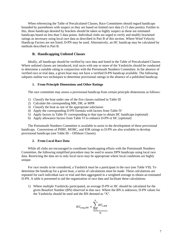When referencing the Table of Precalculated Classes, Race Committees should regard handicaps bounded by parentheses with suspect as they are based on limited race data (5-15 data points). Further to this, those handicaps denoted by brackets should be taken as highly suspect as these are estimated handicaps based on less than 5 data points. Individual clubs are urged to verify and modify bracketed ratings as necessary using local race data as described in Part B of this section. Where Wind Velocity Handicap Factors are not listed, D-PN may be used. Alternatively, an HC handicap may be calculated by methods described in Part B.

#### **B. Handicapping Unlisted Classes**

Ideally, all handicaps should be verified by race data and listed in the Table of Precalculated Classes. Where unlisted classes are introduced, trial races with one or more of the Yardsticks should be conducted to determine a suitable rating in conjunction with the Portsmouth Numbers Committee. In the absence of verified race or trial data, a given boat may not have a verified D-PN handicap available. The following subparts outline two techniques to determine provisional ratings in the absence of a published handicap.

#### **1. From Principle Dimensions and Other Ratings**

The race committee may assess a provisional handicap from certain principle dimensions as follows:

- 1) Classify the boat under one of the five classes outlined in Table III
- 2) Calculate the corresponding MR, DR, or MPR
- 3) Classify the boat as one of the appropriate subclasses
- 4) Apply the corresponding D-PN formula with factors from Table IV
- 5) Apply factors in Table IV corresponding to that type to obtain HC handicaps (optional)
- 6) Apply allowance factors from Table VI to enhance D-PN or HC (optional)

The Portsmouth Numbers Committee is available to assist in the development of these provisional handicaps. Conversions of PHRF, MORC, and IOR ratings to D-PN are also available to develop provisional handicaps (see Table III – Offshore Classes).

#### **2. From Local Race Data**

While all clubs are encouraged to coordinate handicapping efforts with the Portsmouth Numbers Committee, the following simplified procedure may be used to assess DPN handicaps using local race data. Restricting the data set to only local races may be appropriate where local conditions are highly unique.

For race results to be considered, a Yardstick must be a participant in the race (see Table VII). To determine the handicap for a given boat, a series of calculations must be made. These calculations are repeated for each individual race or trial and then aggregated in a weighted average to obtain an estimated D-PN. A table is presented to aid the organization of race data and facilitate these calculations.

1) Where multiple Yardsticks participated, an average D-PN or HC should be calculated for the given Beaufort Number (BN) observed in that race. Where the BN is unknown, D-PN values for the Yardsticks should be used and the BN denoted as "X".

$$
HC_{avg,BN} = \sum_{i=1}^{n} HC_{i,BN}
$$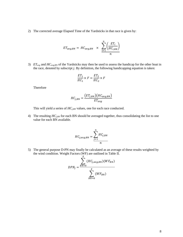2) The corrected average Elapsed Time of the Yardsticks in that race is given by:

$$
ET_{avg,BN} = HC_{avg,BN} \times \frac{\sum_{i=1}^{n} \left(\frac{ET_i}{HC_{i,BN}}\right)}{n}
$$

3) *ETavg* and *HCav*g,BN of the Yardsticks may then be used to assess the handicap for the other boat in the race, denoted by subscript *j*. By definition, the following handicapping equation is taken:

$$
\frac{ET_1}{HC_1} \times F = \frac{ET_2}{HC_2} \times F
$$

Therefore

$$
HC_{j,BN} = \frac{(ET_{j,BN})(HC_{avg,BN})}{ET_{avg}}
$$

This will yield a series of  $HC_{j,BN}$  values, one for each race conducted.

4) The resulting *HCj,BN* for each BN should be averaged together, thus consolidating the list to one value for each BN available.

$$
HC_{j,avg,BN} = \sum_{j=1}^{n} HC_{j,BN}
$$

5) The general purpose D-PN may finally be calculated as an average of these results weighted by the wind condition. Weight Factors (WF) are outlined in Table II.

$$
DPN_j = \frac{\sum_{BN=0}^{X} (HC_{j,avg,BN})(WF_{BN})}{\sum_{BN=0}^{X} (WF_{BN})}
$$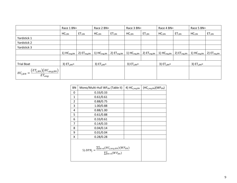|                                                         | Race 1 BN=                |                  | Race 2 BN=       |                  | Race 3 BN=               |                    | Race 4 BN=                |                  | Race 5 BN=                |                         |
|---------------------------------------------------------|---------------------------|------------------|------------------|------------------|--------------------------|--------------------|---------------------------|------------------|---------------------------|-------------------------|
|                                                         | $HC_{i,BN}$               | $ET_{i,BN}$      | $HC_{i,BN}$      | $ET_{i,BN}$      | $HC_{i,BN}$              | $ET_{i,BN}$        | $HC_{i,BN}$               | $ET_{i,BN}$      | $HC_{i,BN}$               | ET <sub>i,BN</sub>      |
| Yardstick 1                                             |                           |                  |                  |                  |                          |                    |                           |                  |                           |                         |
| Yardstick 2                                             |                           |                  |                  |                  |                          |                    |                           |                  |                           |                         |
| Yardstick 3                                             |                           |                  |                  |                  |                          |                    |                           |                  |                           |                         |
|                                                         | $1)$ HC <sub>avg,BN</sub> | 2) $ET_{avg,BN}$ | 1) $HC_{avg,BN}$ | 2) $ET_{avg,BN}$ | 1) H C <sub>avg,BN</sub> | $2)$ $ET_{avg,BN}$ | $1)$ HC <sub>avg,BN</sub> | 2) $ET_{avg,BN}$ | $1)$ HC <sub>avg,BN</sub> | 2) ET <sub>avg,BN</sub> |
|                                                         |                           |                  |                  |                  |                          |                    |                           |                  |                           |                         |
| <b>Trial Boat</b>                                       | 3) $ETi,BN=$              |                  | 3) $ETi,BN=$     |                  | 3) $ETi,BN=$             |                    | 3) $ETi,BN=$              |                  | 3) $ETj,BN=$              |                         |
| $HC_{j,BN} = \frac{(ET_{j,BN})(HC_{avg,BN})}{ET_{avg}}$ |                           |                  |                  |                  |                          |                    |                           |                  |                           |                         |

| <b>BN</b>      | Mono/Multi-Hull WF <sub>BN</sub> (Table II)                                             | 4) HC <sub>j,avg,BN</sub> | $(HCj,avg,BN)(WFBN)$ |
|----------------|-----------------------------------------------------------------------------------------|---------------------------|----------------------|
| 0              | 0.33/0.33                                                                               |                           |                      |
| 1              | 0.61/0.61                                                                               |                           |                      |
| $\overline{2}$ | 0.88/0.75                                                                               |                           |                      |
| 3              | 1.00/0.88                                                                               |                           |                      |
| 4              | 0.88/1.00                                                                               |                           |                      |
| 5              | 0.61/0.88                                                                               |                           |                      |
| 6              | 0.33/0.61                                                                               |                           |                      |
| 7              | 0.14/0.33                                                                               |                           |                      |
| 8              | 0.04/0.14                                                                               |                           |                      |
| 9              | 0.01/0.04                                                                               |                           |                      |
| x              | 0.28/0.28                                                                               |                           |                      |
|                | 5) $DPN_j = \frac{\sum_{BN=0}^{X} (HC_{j,avg,BN})(WF_{BN})}{\sum_{BN=0}^{X} (WF_{BN})}$ |                           |                      |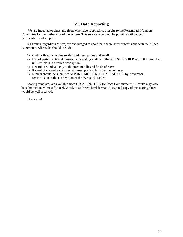# **VI. Data Reporting**

<span id="page-11-0"></span>We are indebted to clubs and fleets who have supplied race results to the Portsmouth Numbers Committee for the furtherance of the system. This service would not be possible without your participation and support.

All groups, regardless of size, are encouraged to coordinate score sheet submissions with their Race Committee. All results should include:

- 1) Club or fleet name plus sender's address, phone and email
- 2) List of participants and classes using coding system outlined in Section III.B or, in the case of an unlisted class, a detailed description.
- 3) Record of wind velocity at the start, middle and finish of races
- 4) Record of elapsed and corrected times, preferably in decimal minutes
- 5) Results should be submitted to [PORTSMOUTH@USSAILING.ORG](mailto:PORTSMOUTH@USSAILING.ORG) by November 1 for inclusion in the next edition of the Yardstick Tables

Scoring templates are available from USSAILING.ORG for Race Committee use. Results may also be submitted in Microsoft Excel, Word, or Sailwave html format. A scanned copy of the scoring sheet would be well received.

Thank you!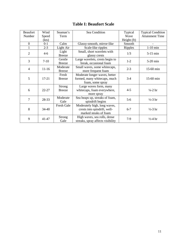# **Table I: Beaufort Scale**

<span id="page-12-0"></span>

| <b>Beaufort</b> | Wind      | Seaman's                       | Sea Condition                                                                         | Typical        | <b>Typical Condition</b>     |
|-----------------|-----------|--------------------------------|---------------------------------------------------------------------------------------|----------------|------------------------------|
| Number          | Speed     | Term                           |                                                                                       | Wave           | <b>Attainment Time</b>       |
|                 | (kts)     |                                |                                                                                       | Height (ft)    |                              |
| $\overline{0}$  | $0 - 1$   | Calm                           | Glassy-smooth, mirror-like                                                            | Smooth         |                              |
| 1               | $2 - 3$   | Light Air                      | Scale-like ripples                                                                    | <b>Ripples</b> | $1-10$ min                   |
| $\overline{2}$  | $4 - 6$   | Light<br><b>Breeze</b>         | Small, short wavelets with<br>glassy crests                                           | 1/3            | $5-15$ min                   |
| 3               | $7-10$    | Gentle<br><b>Breeze</b>        | Large wavelets, crests begin to<br>break, occasional foam                             | $1-2$          | $5-20$ min                   |
| $\overline{4}$  | $11-16$   | Moderate<br><b>Breeze</b>      | Small waves, some whitecaps,<br>more frequent foam                                    | $2 - 3$        | 15-60 min                    |
| 5               | $17 - 21$ | Fresh<br><b>Breeze</b>         | Moderate longer waves, better<br>formed, many whitecaps, much<br>foam, some spray     | $3-4$          | 15-60 min                    |
| 6               | $22 - 27$ | <b>Strong</b><br><b>Breeze</b> | Large waves form, many<br>whitecaps, foam everywhere,<br>more spray                   | $4 - 5$        | $\frac{1}{4} - 2 \text{ hr}$ |
| 7               | 28-33     | Moderate<br>Gale               | Sea heaps up, streaks of foam,<br>spindrift begins                                    | $5 - 6$        | $\frac{1}{2}$ -3 hr          |
| 8               | 34-40     | Fresh Gale                     | Moderately high, long waves,<br>crests into spindrift, well-<br>marked steaks of foam | $6 - 7$        | $\frac{1}{2}$ -3 hr          |
| 9               | 41-47     | <b>Strong</b><br>Gale          | High waves, sea rolls, dense<br>streaks, spray affects visibility                     | $7-9$          | $\frac{1}{2} - 4 \ln$        |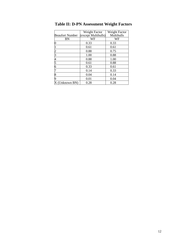|                        | Weight Factor       | Weight Factor     |
|------------------------|---------------------|-------------------|
| <b>Beaufort Number</b> | (except Multihulls) | <b>Multihulls</b> |
| BN                     | WF                  | WF                |
|                        | 0.33                | 0.33              |
|                        | 0.61                | 0.61              |
|                        | 0.88                | 0.75              |
|                        | 1.00                | 0.88              |
|                        | 0.88                | 1.00              |
|                        | 0.61                | 0.88              |
| б                      | 0.33                | 0.61              |
|                        | 0.14                | 0.33              |
|                        | 0.04                | 0.14              |
|                        | 0.01                | 0.04              |
| (Unknown BN)           | 0.28                | 0.28              |

<span id="page-13-0"></span>**Table II: D-PN Assessment Weight Factors**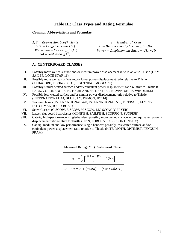# **Table III: Class Types and Rating Formulae**

## <span id="page-14-0"></span>**Common Abbreviations and Formulae**

 $A, B = Regression Coefficients$  $LOA = Length \, Overall \, (ft)$  $LWL = Water line Length (ft)$  $SA =$  Sail Area (ft<sup>2</sup>)

 $c = Number of$  Crew  $D = Displacement, class weight (lbs)$ Power – Displacement Ratio =  $\sqrt{SA}/\sqrt[3]{D}$ 

# **A. CENTERBOARD CLASSES**

- I. Possibly more wetted surface and/or medium power-displacement ratio relative to Thistle (DAY SAILER, LONE STAR 16)
- II. Possibly more wetted surface and/or lower power-displacement ratio relative to Thistle (ALBACORE, FLYING SCOT, LIGHTNING, MOBJACK)
- III. Possibly similar wetted surface and/or equivalent power-displacement ratio relative to Thistle (C-LARK, CORONADO 15, FJ, HIGHLANDER, KESTREL, RAVEN, SNIPE, WINDMILL)
- IV. Possibly less wetted surface and/or similar power-displacement ratio relative to Thistle (INTERNATIONAL 14, BLUE JAY, DEMON, JET 14)
- V. Trapeze classes (INTERNATIONAL 470, INTERNATIONAL 505, FIREBALL, FLYING DUTCHMAN, JOLLYBOAT)
- VI. Scow Classes (C-SCOW, E-SCOW, M-SCOW, MC-SCOW, Y-FLYER)
- VII. Lateen-rig, board boat classes (MINIFISH, SAILFISH, SCORPION, SUNFISH)
- VIII. Cat-rig, high-performance, single-handers; possibly more wetted surface and/or equivalent powerdisplacement ratio relative to Thistle (FINN, FORCE 5, LASER, OK DINGHY)
- IX. Cat-rig, medium and low performance, single handers; possibly less wetted surface and/or equivalent power-displacement ratio relative to Thistle (KITE, MOTH, OPTIMIST, PENGUIN, PRAM)

Measured Rating (MR) Centerboard Classes

 $MR = \frac{1}{2}$  $\frac{LOA + LWL}{2} + \sqrt[1.3]{SA}$  $D - PN = A + [B(MR)]$  (See Table IV)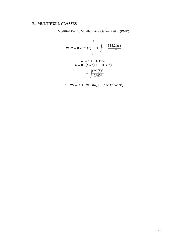# **B. MULTIHULL CLASSES**



$$
PMR = 0.7071(z) \sqrt{1 + \sqrt{1 + \frac{535.2(w)}{z^{2}L^{4}}}}
$$
  

$$
w = 1.1D + 175c
$$
  

$$
L = 0.6(LWL) + 0.4(LOA)
$$
  

$$
z = \sqrt[4]{\frac{(w)(L)^{4}}{(SA)^{2}}}
$$
  

$$
D - PN = A + [B(PMR)]
$$
 (See Table IV)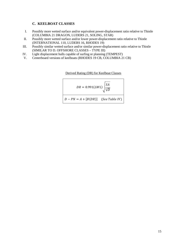# **C. KEELBOAT CLASSES**

- I. Possibly more wetted surface and/or equivalent power-displacement ratio relative to Thistle (COLUMBIA 21 DRAGON, LUDERS 21, SOLING, STAR)
- II. Possibly more wetted surface and/or lower power-displacement ratio relative to Thistle (INTERNATIONAL 110, LUDERS 16, RHODES 19)
- III. Possibly similar wetted surface and/or similar power-displacement ratio relative to Thistle (SIMILAR TO D. OFFSHORE CLASSES – TYPE III)
- IV. Light displacement hulls capable of surfing or planning (TEMPEST)
- V. Centerboard versions of keelboats (RHODES 19 CB, COLUMBIA 21 CB)

Derived Rating (DR) for Keelboat Classes

$$
DR = 0.991(LWL) \sqrt{\frac{SA}{\sqrt[3]{D}}}
$$
  

$$
D - PN = A + [B(DR)]
$$
 (See Table IV)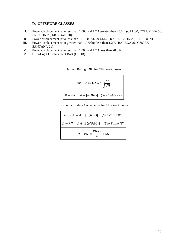# **D. OFFSHORE CLASSES**

- I. Power-displacement ratio less than 1.000 and LOA greater than 28.0 ft (CAL 30, COLUMBIA 50, ERICSON 29, MORGAN 30)
- II. Power-displacement ratio less than 1.070 (CAL 29 ELECTRA, ERICSON 25, TYPHOON)
- III. Power-displacement ratio greater than 1.070 but less than 1.200 (BALBOA 26, C&C 35, SANTANA 21)
- IV. Power-displacement ratio less than 1.000 and LOA less than 28.0 ft
- V. Ultra-Light Displacement Boat (ULDB)

Derived Rating (DR) for Offshore Classes

$$
DR = 0.991(LWL) \sqrt{\frac{SA}{\sqrt[3]{D}}}
$$
  

$$
D - PN = A + [B(DN)]
$$
 (See Table IV)

Provisional Rating Conversions for Offshore Classes

$$
D - PN = A + [B(IOR)]
$$
 (See Table IV)  

$$
D - PN = A + [B(MORC)]
$$
 (See Table IV)  

$$
D - PN = \frac{PHRF}{6} + 55
$$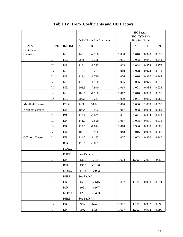<span id="page-18-0"></span>

|                          |                |               |              | <b>HC</b> Factors       |         |                                         |                |       |
|--------------------------|----------------|---------------|--------------|-------------------------|---------|-----------------------------------------|----------------|-------|
|                          |                |               |              | D-PN Formulae Constants |         | $HC=(f)(D-PN)$<br><b>Beaufort Scale</b> |                |       |
| <b>CLASS</b>             | <b>TYPE</b>    | <b>RATING</b> | $\mathbf{A}$ | $\, {\bf B}$            | $0 - 1$ | $2 - 3$                                 | $\overline{4}$ | $5-9$ |
| Centerboard              |                |               |              |                         |         |                                         |                |       |
| Classes                  | $\mathbf I$    | <b>MR</b>     | 143.9        | $-2.758$                | 1.060   | 1.010                                   | 0.970          | 0.970 |
|                          | $\mathbf{I}$   | <b>MR</b>     | 96.0         | $-0.308$                | 1.071   | 1.008                                   | 0.941          | 0.941 |
|                          | $\rm III$      | <b>MR</b>     | 113.4        | $-1.392$                | 1.023   | 1.004                                   | 0.973          | 0.973 |
|                          | IV             | <b>MR</b>     | 213.1        | $-8.227$                | 1.010   | 0.978                                   | 0.974          | 0.974 |
|                          | $\mathbf V$    | <b>MR</b>     | 113.1        | $-1.790$                | 1.026   | 1.016                                   | 0.967          | 0.967 |
|                          | VI             | <b>MR</b>     | 117.6        | $-1.780$                | 1.055   | 1.026                                   | 0.975          | 0.975 |
|                          | <b>VII</b>     | MR            | 205.5        | $-7.940$                | 1.014   | 1.001                                   | 0.935          | 0.935 |
|                          | <b>VIII</b>    | MR            | 109.1        | $-1.160$                | 1.012   | 1.010                                   | 0.990          | 0.990 |
|                          | IX             | MR            | 209.8        | $-9.231$                | 1.009   | 0.991                                   | 0.985          | 0.985 |
| <b>Multihull Classes</b> |                | <b>PMR</b>    | 14.3         | 58.74                   | 1.070   | 1.030                                   | 1.000          | 0.950 |
| <b>Keelboat Classes</b>  | $\mathbf I$    | DR            | 106.4        | $-0.952$                | 1.017   | 1.008                                   | 0.984          | 0.984 |
|                          | $\mathbf{I}$   | DR            | 110.9        | $-0.602$                | 1.041   | 1.021                                   | 0.944          | 0.944 |
|                          | $\mathbf{III}$ | DR            | 141.0        | $-2.620$                | 1.017   | 1.008                                   | 0.971          | 0.971 |
|                          | IV             | DR            | 124.6        | $-1.014$                | 1.018   | 0.986                                   | 0.980          | 0.980 |
|                          | $\mathbf V$    | <b>DR</b>     | 105.5        | $-0.960$                | 1.048   | 1.016                                   | 0.908          | 0.908 |
| <b>Offshore Classes</b>  | $\bf{I}$       | DR            | 114.7        | $-1.183$                | 1.027   | 1.023                                   | 0.960          | 0.940 |
|                          |                | <b>IOR</b>    | 110.1        | $-0.861$                |         |                                         |                |       |
|                          |                | <b>MORC</b>   |              |                         |         |                                         |                |       |
|                          |                | <b>PHRF</b>   | See Table V  |                         |         |                                         |                |       |
|                          | $\mathbf{I}$   | DR            | 138.1        | $-2.167$                | 1.008   | 1.006                                   | .990           | .985  |
|                          |                | <b>IOR</b>    | 136.1        | $-2.190$                |         |                                         |                |       |
|                          |                | <b>MORC</b>   | 116.5        | $-0.993$                |         |                                         |                |       |
|                          |                | <b>PHRF</b>   | See Table V  |                         |         |                                         |                |       |
|                          | Ш              | DR            | 155.1        | $-2.615$                | 1.017   | 1.008                                   | 0.980          | 0.971 |
|                          |                | IOR           | 109.1        | $-0.977$                |         |                                         |                |       |
|                          |                | <b>MORC</b>   | 129.1        | $-1.493$                |         |                                         |                |       |
|                          |                | <b>PHRF</b>   | See Table V  |                         |         |                                         |                |       |
|                          | IV             | DR            | N/A          | $\rm N/A$               | 1.017   | 1.008                                   | 0.992          | 0.990 |
|                          | V              | DR            | N/A          | N/A                     | 1.007   | 1.002                                   | 0.992          | 0.990 |

# **Table IV: D-PN Coefficients and HC Factors**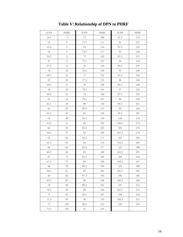<span id="page-19-0"></span>

| D-PN   | PHRF             | D-PN | PHRF      | D-PN  | PHRF    |
|--------|------------------|------|-----------|-------|---------|
| 54.5   | $-3$             | 73   | 108       | 91.5  | 219     |
| 55     | $\boldsymbol{0}$ | 73.5 | $1\,1\,1$ | 92    | $222\,$ |
| 55.5   | $\mathfrak{Z}$   | 74   | 114       | 92.5  | 225     |
| 56     | 6                | 74.5 | 117       | 93    | 228     |
| 56.5   | $\overline{9}$   | 75   | 120       | 93.5  | 231     |
| 57     | 12               | 75.5 | 123       | 94    | 234     |
| 57.5   | 15               | 76   | 126       | 94.5  | 237     |
| $58\,$ | 18               | 76.5 | 129       | 95    | 240     |
| 58.5   | 21               | 77   | 132       | 95.5  | 243     |
| 59     | 24               | 77.5 | 135       | 96    | 246     |
| 59.5   | 27               | 78   | 138       | 96.5  | 249     |
| 60     | 30               | 78.5 | 141       | 97    | 252     |
| 60.5   | 33               | 79   | 144       | 97.5  | 255     |
| 61     | 36               | 79.5 | 147       | 98    | 258     |
| 61.5   | 39               | 80   | 150       | 98.5  | 261     |
| 62     | 42               | 80.5 | 153       | 99    | 264     |
| 62.5   | 45               | 81   | 156       | 99.5  | 267     |
| 63     | 48               | 81.5 | 159       | 100   | 270     |
| 63.5   | 51               | 82   | 162       | 100.5 | 273     |
| 64     | 54               | 82.5 | 165       | 101   | 276     |
| 64.5   | 57               | 83   | 168       | 101.5 | 279     |
| 65     | 60               | 83.5 | 171       | 102   | 282     |
| 65.5   | 63               | 84   | 174       | 102.5 | 285     |
| 66     | 66               | 84.5 | 177       | 103   | 288     |
| 66.5   | 69               | 85   | 180       | 103.5 | 291     |
| 67     | 72               | 85.5 | 183       | 104   | 294     |
| 67.5   | $75\,$           | 86   | 186       | 104.5 | 297     |
| 68     | 78               | 86.5 | 189       | 105   | 300     |
| 68.5   | 81               | 87   | 192       | 105.5 | 303     |
| 69     | 84               | 87.5 | 195       | 106   | 306     |
| 69.5   | 87               | 88   | 198       | 106.5 | 309     |
| 70     | 90               | 88.5 | 201       | 107   | 312     |
| 70.5   | 93               | 89   | 204       | 107.5 | 315     |
| 71     | 96               | 89.5 | 207       | 108   | 318     |
| 71.5   | 99               | 90   | 210       | 108.5 | 321     |
| $72\,$ | 102              | 90.5 | 213       | 109   | 324     |
| 72.5   | 105              | 91   | 216       |       |         |

# **Table V: Relationship of DPN to PHRF**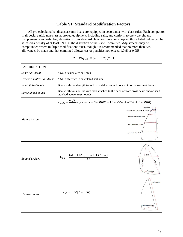# **Table VI: Standard Modification Factors**

<span id="page-20-0"></span>All pre-calculated handicaps assume boats are equipped in accordance with class rules. Each competitor shall declare ALL non-class approved equipment, including sails, and conform to crew weight and complement standards. Any deviations from standard class configurations beyond those listed below can be assessed a penalty of at least 0.995 at the discretion of the Race Committee. Adjustments may be compounded where multiple modifications exist, though it is recommended that no more than two allowances be made and that combined allowances or penalties not exceed 1.045 or 0.955.

$$
D - PN_{mod} = (D - PN)(MF)
$$

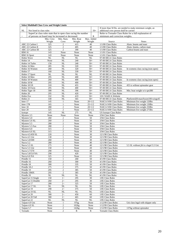| <b>Select Multihull Class Crew and Weight Limits</b> |                                                                                                                       |                         |                        |                |                                                   |                                                            |
|------------------------------------------------------|-----------------------------------------------------------------------------------------------------------------------|-------------------------|------------------------|----------------|---------------------------------------------------|------------------------------------------------------------|
| NL<br>Not listed in class rules                      |                                                                                                                       |                         |                        | $50+$          | additional crew person shall be carried           | If more than 50 lbs. are needed to make minimum weight, an |
|                                                      | SuperCat class rules state that in open class racing the number<br>of persons on board may be increased or decreased. |                         |                        | R              | minimum and correction weights.                   | Refer to Tornado Class Rules for a full explanation of     |
|                                                      | Min. Crew                                                                                                             | Min. Num.               | Min. Boat              | Max. Added     |                                                   |                                                            |
|                                                      | Weight                                                                                                                | Crew                    | Weight                 | Weight         | Source                                            | <b>Notes</b>                                               |
| ARC 22 Carbon I                                      | 325                                                                                                                   | 2                       | 415                    | 40             | 1/1/00 Class Rules                                | Alum. beams and mast                                       |
| ARC 22 Carbon II                                     | 325                                                                                                                   | $\overline{c}$          | 405                    | 40             | 1/1/00 Class Rules                                | Alum. beams, carbon mast                                   |
| ARC 22 Carbon III                                    | 325                                                                                                                   | $\mathbf{2}$            | 390                    | 40             | 1/1/00 Class Rules                                | Carbon beams and mast                                      |
| <b>BIM 16</b>                                        | 143                                                                                                                   | None                    | None                   | None           | 1/1/01 Class Rules                                |                                                            |
| <b>BIM 16 Sport</b>                                  | 143                                                                                                                   | None                    | None                   | None           | 1/1/01 Class Rules                                |                                                            |
| Hobie Wave                                           | $\overline{\text{NL}}$                                                                                                | <b>NL</b>               | NL                     | <b>NL</b>      | 97-00 IHCA Class Rules                            |                                                            |
| Hobie 14                                             | None                                                                                                                  | $\overline{\text{NL}}$  | 240                    | $50+$          | 97-00 IHCA Class Rules                            |                                                            |
| Hobie 14 Turbo<br>Hobie 16 Men                       | 150<br>285                                                                                                            | NL<br>NL                | 240<br>320             | $50+$<br>$50+$ | 97-00 IHCA Class Rules<br>97-00 IHCA Class Rules  |                                                            |
| Hobie 16 Women                                       | 260                                                                                                                   | NL                      | 320                    | $50+$          | 97-00 IHCA Class Rules                            | In womens class racing (non-open)                          |
| Hobie 17                                             | 160                                                                                                                   | $\overline{\text{NL}}$  | 330                    | $50+$          | 97-00 IHCA Class Rules                            |                                                            |
| Hobie 17 Sport                                       | NL                                                                                                                    | $\overline{\text{NL}}$  | $\overline{\text{NL}}$ | NL             | 97-00 IHCA Class Rules                            |                                                            |
| Hobie 18 Men                                         | 295                                                                                                                   | NL                      | 400                    | $50+$          | 97-00 IHCA Class Rules                            |                                                            |
| Hobie 18 Women                                       | 260                                                                                                                   | NL                      | 400                    | $50+$          | 97-00 IHCA Class Rules                            | In womens class racing (non-open)                          |
| Hobie 18 M                                           | 295                                                                                                                   | NL                      | 400                    | $50+$          | 97-00 IHCA Class Rules                            |                                                            |
| Hobie 18 SX                                          | 310                                                                                                                   | NL                      | 455                    | $50+$          | 97-00 IHCA Class Rules                            | 455 is without spinnaker gear                              |
| Hobie 18 Form                                        | 295                                                                                                                   | NL                      | 400                    | $50+$          | 97-00 IHCA Class Rules                            |                                                            |
| Hobie Tiger 18                                       | 308                                                                                                                   | NL                      | 396                    | $50+$          | 97-00 IHCA Class Rules                            | Min. boat weight w/o spn380                                |
| Hobie 20                                             | 295                                                                                                                   | $\overline{\text{NL}}$  | 420                    | $50+$          | 97-00 IHCA Class Rules                            |                                                            |
| Hobie Fox                                            | 332                                                                                                                   | NL                      | 419                    | $50+$          | 3/01 NAHCA Website                                |                                                            |
| Hobie 21                                             | 330                                                                                                                   | <b>NL</b>               | 565                    | $50+$          | 97-00 IHCA Class Rules                            | Platform420:mast/boom100:wings45                           |
| Inter 17                                             | 145                                                                                                                   | 1                       | None                   | $20 + 1/2$     | NAICA 9/00 Class Rules                            | Minimum live weight 120lbs                                 |
| Inter 17R                                            | 165                                                                                                                   | $\mathbf{1}$            | None                   | $25 + 1/2$     | NAICA 9/00 Class Rules                            | Minimum live weight 130lbs                                 |
| Inter 18                                             | 280                                                                                                                   | $\mathbf{2}$            | None                   | $20 + 1/2$     | NAICA 9/00 Class Rules                            | Minimum live weight 250lbs                                 |
| Inter <sub>20</sub>                                  | 325                                                                                                                   | $\overline{c}$          | None                   | $25 + 1/2$     | NAICA 9/00 Class Rules                            | Minimum live weight 275lbs                                 |
| Isotope<br>Mystere 3.5                               | 145<br>None                                                                                                           | NL<br>None              | 275<br>None            | NL<br>None     | <b>US Isotope Class Rules</b><br>3/94 Class Rules |                                                            |
| Mystere 5.0                                          | 260                                                                                                                   | 2                       | None                   | 50             | 3/94 Class Rules                                  |                                                            |
| Mystere 5.0 XL                                       | 260                                                                                                                   | $\mathbf{2}$            | None                   | 50             | 3/94 Class Rules                                  |                                                            |
| Mystere 5.5                                          | 280                                                                                                                   | $\mathbf{2}$            | None                   | 50             | 3/94 Class Rules                                  |                                                            |
| Mystere 5.5 Fun                                      | 280                                                                                                                   | $\overline{2}$          | None                   | 50             | 3/94 Class Rules                                  |                                                            |
| Mystere 6.0                                          | 315                                                                                                                   | $\mathbf{2}$            | None                   | 50             | 3/94 Class Rules                                  |                                                            |
| Mystere 6.0 XL                                       | 315                                                                                                                   | $\mathbf{2}$            | None                   | 50             | 3/94 Class Rules                                  |                                                            |
| Nacra 4.5/450 SL                                     | 220                                                                                                                   | $\mathbf{2}$            | None                   | 30             | 12/1/98 Class Rules                               |                                                            |
| Nacra 4.5 Uni                                        | 130                                                                                                                   | $\mathbf{1}$            | None                   | 30             | 12/1/98 Class Rules                               |                                                            |
| Nacra 5.0/500                                        | 260                                                                                                                   | $\overline{\mathbf{c}}$ | None                   | 30             | 12/1/98 Class Rules                               |                                                            |
| Nacra 5.2                                            | 280                                                                                                                   | $\overline{\mathbf{c}}$ | None                   | 40             | 12/1/98 Class Rules                               |                                                            |
| Nacra 5.5 SL                                         | 275                                                                                                                   | $\overline{c}$          | None                   | 40             | 12/1/98 Class Rules                               | 5.5 SL without jib is a legal 5.5 Uni                      |
| Nacra 5.5 Uni<br>Nacra 5.7/570                       | 150<br>290                                                                                                            | 1<br>$\overline{c}$     | None                   | 20<br>40       | 12/1/98 Class Rules<br>12/1/98 Class Rules        |                                                            |
| Nacra 5.8/5.8 NA                                     | 290                                                                                                                   | $\overline{2}$          | None<br>420            | 50             | 12/1/98 Class Rules                               |                                                            |
| Nacra 6.0 NA                                         | 325                                                                                                                   | $\overline{2}$          | None                   | 65             | 12/1/98 Class Rules                               |                                                            |
| Prindle 15                                           | 150                                                                                                                   | 1                       | 260                    | 50             | 4/1/99 Class Rules                                |                                                            |
| Prindle 16                                           | 260                                                                                                                   | $\overline{2}$          | 300                    | 50             | 4/1/99 Class Rules                                |                                                            |
| Prindle 18                                           | 300                                                                                                                   | 2                       | 335                    | 50             | 4/1/99 Class Rules                                |                                                            |
| Prindle 18-2                                         | 275                                                                                                                   | $\overline{c}$          | 375                    | 50             | 4/1/99 Class Rules                                |                                                            |
| Prindle 19                                           | 295                                                                                                                   | $\overline{c}$          | 385                    | 50             | 4/1/99 Class Rules                                |                                                            |
| Prindle 19MX                                         | 295                                                                                                                   | $\overline{2}$          | 385                    | 50             | 4/1/99 Class Rules                                |                                                            |
| Prindle 20                                           | NL                                                                                                                    | NL                      | NL                     | NL             | 4/1/99 Class Rules                                |                                                            |
| SuperCat 15 Single                                   | 150                                                                                                                   | $1 -$                   | 295                    | 30             | 1/85 Class Rules                                  |                                                            |
| SuperCat 15 Double                                   | 260                                                                                                                   | $2\sim$                 | 295                    | 30             | 1/85 Class Rules                                  |                                                            |
| SuperCat 17                                          | 280                                                                                                                   | $2-$                    | 325                    | 50             | 1/85 Class Rules                                  |                                                            |
| SuperCat 17 XL                                       | NL                                                                                                                    | NL                      | NL                     | NL             | 1/85 Class Rules                                  |                                                            |
| SuperCat 19<br>SuperCat 19 XL                        | 290<br>NL                                                                                                             | $2-$<br>$\rm NL$        | 375<br>$\rm NL$        | 50<br>NL       | 1/85 Class Rules<br>1/85 Class Rules              |                                                            |
| SuperCat 20                                          | 300                                                                                                                   | $2-$                    | 450                    | 60             | 1/85 Class Rules                                  |                                                            |
| SuperCat 20 Tall                                     | 300                                                                                                                   | $2-$                    | 465                    | 60             | 1/85 Class Rules                                  |                                                            |
| SuperCat 22                                          | $\rm NL$                                                                                                              | NL                      | $\rm NL$               | $\rm NL$       | 1/85 Class Rules                                  |                                                            |
| Taipan 4.9 Uni                                       | None                                                                                                                  | $\mathbf{1}$            | 97kg                   | None           | 1/12/99 Class Rules                               | Uni class legal with skipper only                          |
| Taipan 4.9 SL                                        | None                                                                                                                  | $\overline{c}$          | 102kg                  | None           | 1/12/99 Class Rules                               |                                                            |
| Taipan 5.7                                           | None                                                                                                                  | $\overline{c}$          | 142kg                  | None           | 1/12/99 Class Rules                               | 137kg without spinnaker                                    |
| Tornado                                              | None                                                                                                                  | $\overline{c}$          | R                      | R              | <b>Tornado Class Rules</b>                        |                                                            |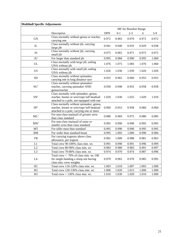| <b>Multihull Specific Adjustments</b> |                                                                                                                                    |            |         |                              |       |       |
|---------------------------------------|------------------------------------------------------------------------------------------------------------------------------------|------------|---------|------------------------------|-------|-------|
|                                       |                                                                                                                                    |            |         | <b>MF</b> for Beaufort Range |       |       |
|                                       | Description                                                                                                                        | <b>DPN</b> | $0 - 1$ | $2 - 3$                      | 4     | $5-9$ |
| <b>GN</b>                             | Class normally without genoa or reacher,<br>carrying one                                                                           | 0.972      | 0.965   | 0.970                        | 0.972 | 0.972 |
| $\rm JL$                              | Class normally without jib, carrying<br>large jib                                                                                  | 0.941      | 0.940   | 0.933                        | 0.929 | 0.938 |
| JS                                    | Class normally without jib, carrying<br>small jib                                                                                  | 0.975      | 0.965   | 0.971                        | 0.975 | 0.975 |
| $\rm JU$                              | For larger than standard jib                                                                                                       | 0.995      | 0.984   | 0.990                        | 0.995 | 1.000 |
| UL                                    | Class normally with large jib, sailing<br>UNA without jib                                                                          | 1.076      | 1.075   | 1.083                        | 1.076 | 1.060 |
| <b>US</b>                             | Class normally with small jib, sailing<br>UNA without jib                                                                          | 1.026      | 1.036   | 1.030                        | 1.026 | 1.026 |
| <b>SD</b>                             | Class normally without spinnaker,<br>carrying one in long distance race                                                            | 0.955      | 0.965   | 0.960                        | 0.955 | 0.955 |
| SG <sup>1</sup>                       | Class normally without spinnaker/<br>reacher, carrying spinnaker AND<br>genoa/reacher                                              | 0.958      | 0.948   | 0.955                        | 0.958 | 0.958 |
| SN <sup>1</sup>                       | Class normally with spinnaker, genoa,<br>reacher, hooter or wire/rope luff headsail<br>attached to a pole, not equipped with one   | 1.020      | 1.036   | 1.025                        | 1.020 | 1.010 |
| SP <sup>1</sup>                       | Class normally without spinnaker, genoa,<br>reacher, hooter or wire/rope luff headsail<br>attached to a pole, carrying one or more | 0.960      | 0.953   | 0.958                        | 0.960 | 0.960 |
| $ML^2$                                | For non-class mainsail of greater area<br>than class standard                                                                      | 0.980      | 0.969   | 0.975                        | 0.980 | 0.985 |
| $MN^2$                                | For non-class mainsail of same or<br>smaller area than class standard                                                              | 0.995      | 0.990   | 0.990                        | 0.995 | 0.995 |
| <b>MT</b>                             | For taller mast than standard                                                                                                      | 0.995      | 0.990   | 0.990                        | 0.995 | 0.995 |
| <b>BM</b>                             | For wider than standard beam                                                                                                       | 0.995      | 1.005   | 1.000                        | 0.990 | 0.984 |
| TR                                    | For carrying trapezes above class<br>allowance, per trapeze                                                                        | 0.981      | 1.000   | 0.988                        | 0.981 | 0.963 |
| L1                                    | Total crew 90-100% class min. wt.                                                                                                  | 0.991      | 0.990   | 0.991                        | 0.996 | 0.999 |
| L2                                    | Total crew 80-90% class min. wt.                                                                                                   | 0.983      | 0.980   | 0.983                        | 0.991 | 0.997 |
| L <sub>3</sub>                        | Total crew 70-80% class min. wt.                                                                                                   | 0.974      | 0.970   | 0.974                        | 0.987 | 0.996 |
| L4                                    | Total crew < 70% of class min. wt. OR<br>for single-handing a sloop not having<br>class min. crew weights                          | 0.970      | 0.965   | 0.970                        | 0.985 | 0.995 |
| H1                                    | Total crew 110-120% class min. wt.                                                                                                 | 1.003      | 1.010   | 1.007                        | 1.003 | 1.000 |
| H2                                    | Total crew 120-130% class min. wt.                                                                                                 | 1.006      | 1.020   | 1.013                        | 1.006 | 1.000 |
| H <sub>3</sub>                        | Total crew $> 130\%$ class min. wt.                                                                                                | 1.010      | 1.030   | 1.020                        | 1.010 | 1.000 |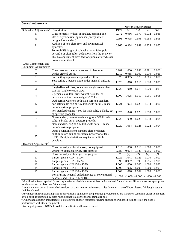| <b>General Adjustments</b>         |                                                                                                                                                                                         |            |       |                                      |       |       |
|------------------------------------|-----------------------------------------------------------------------------------------------------------------------------------------------------------------------------------------|------------|-------|--------------------------------------|-------|-------|
|                                    |                                                                                                                                                                                         |            |       | <b>MF</b> for Beaufort Range         |       |       |
| Spinnaker Adjustments <sup>1</sup> | Description                                                                                                                                                                             | <b>DPN</b> | $0-1$ | $2 - 3$                              | 4     | $5-9$ |
| S                                  | Class normally without spinnaker, carrying one                                                                                                                                          | 0.972      | 0.986 | 0.979                                | 0.972 | 0.986 |
| A                                  | Use of asymmetrical spinnaker (except where<br>designed as standard)                                                                                                                    | 0.995      | 0.995 | 0.995                                | 0.995 | 0.995 |
| R <sup>3</sup>                     | Addition of non-class sprit and asymmetrical<br>spinnaker <sup>1</sup>                                                                                                                  | 0.965      | 0.934 | 0.949                                | 0.955 | 0.955 |
|                                    | For each 5% length of spinnaker or whisker pole<br>beyond J or class rules, deduct 0.5 from the D-PN or<br>HC. No adjustment provided for spinnaker or whisker<br>poles shorter than J. |            |       |                                      |       |       |
| Crew Complement and                |                                                                                                                                                                                         |            |       |                                      |       |       |
| Equipment Adjustments <sup>4</sup> |                                                                                                                                                                                         |            |       |                                      |       |       |
| T                                  | Class carrying trapeze in excess of class rule                                                                                                                                          | 0.981      | 1.000 | 0.988                                | 0.981 | 0.963 |
| $\boldsymbol{0}$                   | Under-crewed vessel                                                                                                                                                                     | 1.010      | 0.985 | 1.000                                | 1.010 | 1.013 |
| 1                                  | Solo sailing 2-person sloop under full sail                                                                                                                                             | 0.970      | 0.965 | 0.970                                | 0.985 | 1.000 |
| $\overline{c}$                     | Solo sailing 2-person sloop under mainsail only, no<br>jib                                                                                                                              | 1.020      | 1.010 | 1.015                                | 1.020 | 1.025 |
| 3                                  | Single-Handed class, total crew weight greater than<br>225 lbs (single or extra crew)                                                                                                   | 1.020      | 1.010 | 1.015                                | 1.020 | 1.025 |
| 4                                  | 2 person class, total crew weight >400 lbs. or 3<br>person class, total crew weight >575 lbs.                                                                                           | 1.009      | 1.025 | 1.019                                | 1.001 | 0.995 |
| 5                                  | Outboard in water on both tacks OR non-standard,<br>non-retractable engine < 500 lbs with solid, 2-blade,<br>out of aperture propeller                                                  | 1.021      | 1.024 | 1.020                                | 1.014 | 1.000 |
| 6                                  | non-standard engine > 500 lbs with solid, 2-blade, out<br>of aperture propeller                                                                                                         | 1.025      | 1.028 | 1.023                                | 1.018 | 1.000 |
| $\tau$                             | Non-standard, non-retractable engine < 500 lbs with<br>solid, 3-blade, out of aperture propeller                                                                                        | 1.025      | 1.030 | 1.023                                | 1.018 | 1.004 |
| 8                                  | Non-standard, engine > 500 lbs with solid, 3-blade,<br>out of aperture propeller                                                                                                        | 1.029      | 1.034 | 1.028                                | 1.022 | 1.004 |
| 9                                  | Other deviations from standard class or design<br>configurations can be assessed a penalty of at least<br>0.995. Multiple deviations may incur multiple<br>penalties.                   |            |       |                                      |       |       |
| Headsail Adjustments <sup>5</sup>  |                                                                                                                                                                                         |            |       |                                      |       |       |
| $\ast$                             | Class normally with spinnaker, not equipped                                                                                                                                             | 1.010      | 1.008 | 1.010                                | 1.000 | 1.000 |
| G                                  | Unknown genoa size (CB, MH classes)                                                                                                                                                     | 0.985      | 0.974 | 0.980                                | 0.995 | 0.990 |
| J                                  | Class normally without jib, carrying one                                                                                                                                                | 0.975      | (2)   | (2)                                  | (2)   | (2)   |
| 11                                 | Largest genoa $HLP < 110\%$                                                                                                                                                             | 1.029      | 1.041 | 1.029                                | 1.010 | 1.000 |
| 12                                 | Largest genoa HLP > 155%                                                                                                                                                                | 0.993      | 0.987 | 0.990                                | 0.995 | 0.998 |
| 13                                 | Largest genoa HLP 150 - 155%                                                                                                                                                            | 1.000      | 1.000 | 1.000                                | 1.000 | 0.993 |
| 14                                 | Largest genoa HLP 131 - 149%                                                                                                                                                            | 1.000      | 1.005 | 1.000                                | 1.000 | 0.995 |
| 15                                 | Largest genoa HLP $110 - 130\%$                                                                                                                                                         | 1.009      | 1.018 | 1.009                                | 1.000 | 1.000 |
|                                    | For a furling headsail added in place of conventional<br>headsail, add 1.0 to DPN or HC.                                                                                                |            |       | $+1.000 +1.000 +1.000 +1.000 +1.000$ |       |       |

<sup>1</sup>Modification factor applied for each spinnaker carried above stock/class limit standard. Spinnaker modifications are not appropriate for short races (i.e., less than 30 minutes).

<sup>2</sup>Length and number of battens shall conform to class rules or, where such rules do not exist on offshore classes, full length battens shall be allowed.

<sup>3</sup>Asymmetrical spinnakers in place of conventional spinnakers are permitted provided they are tacked on centerline either to the deck or to a sprit, if permitted by class rules, but not to a conventional spinnaker pole

4Owner should supply manufacturer's literature to support request for engine allowance. Published ratings reflect the boat's performance with stock equipment.

5Reefing of genoas is NOT allowed if a modification allowance is used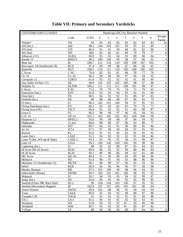<span id="page-24-0"></span>

| Weight<br>3<br>Code<br>$D-PN$<br>$\overline{0}$<br>$\mathbf{1}$<br>$\overline{2}$<br>$\overline{4}$<br>5<br>6<br>Factor<br>83<br>TH<br>83<br>83<br>83<br>83<br>83<br>83<br>83<br>10<br>420<br>95<br>92<br>98.2<br>104<br>103<br>101<br>99<br>89<br>$420$ (Int.)<br>6<br>88<br>470<br>85<br>82<br>80<br>470 (Int)<br>91<br>91<br>90<br>9<br>86.6<br>505<br>$505$ (Int)<br>802<br>82<br>82<br>81<br>80<br>79<br>78<br>77<br>8<br>95<br>94<br>93<br>89<br>86<br>84<br>Albacore (15')<br><b>ALBA</b><br>90.9<br>95<br>$\tau$<br>BND15<br>99<br>Bandit 15<br>98.3<br>100<br>100<br>98<br>97<br>96<br>95<br>$\overline{4}$<br>$\overline{4}$<br>110<br>109<br>108<br>107<br>105<br><b>Blue Jay</b><br><b>BJ</b><br>108.7<br>111<br>110<br>89<br>89<br>88<br>87<br>86<br>86<br>85<br>$\tau$<br>Buccaneer 18 (Southwind 18)<br><b>BCN</b><br>87.4<br><b>BUT</b><br>108<br>6<br>108.5<br>110<br>111<br>110<br>109<br>106<br>105<br><b>Butterfly</b><br>$C-SC$<br>82<br>77<br>76<br>C Scow<br>81<br>81<br>80<br>78<br>$\boldsymbol{7}$<br>79.4<br>98<br>5<br>CL 16<br>98<br>98<br>97<br>96<br>94<br>92<br>$CL-16$<br>96.3<br>92<br>92<br>92<br>91<br>89<br>Coronado 15<br>93<br>90<br>$\overline{7}$<br>COR15<br>91.8<br>8<br>Day Sailer (O'Day 17)<br>DS<br>99.9<br>102<br>100<br>98<br>97<br>96<br>103<br>103<br><b>DLPSR</b><br>97<br>6<br>Dolphin Sr<br>111<br>112<br>111<br>108<br>101<br>98<br>106.2<br>74<br>72<br>70<br>65<br>E Scow<br>E-SC<br>73.2<br>78<br>78<br>76<br>6<br><b>ENT</b><br>93<br>94<br>94<br>93<br>92<br>91<br>$\tau$<br>Enterprise (Int.)<br>92.8<br>90<br>93<br>92<br>91<br>89<br>87<br>85<br>$\tau$<br><b>FN</b><br>94<br>Finn (Int.)<br>90.5<br>FB<br>88<br>88<br>83<br>79<br>$8\,$<br>88<br>87<br>86<br>Fireball (Int.)<br>86<br>FJ<br>97<br>93<br>98.3<br>102<br>101<br>100<br>99<br>95<br>$FJ$ (Int.)<br>6<br>82<br>Flying Dutchman (Int.)<br><b>FD</b><br>80.2<br>82<br>83<br>81<br>79<br>76<br>73<br>$\tau$<br>87<br>8<br><b>FSCT</b><br>92<br>92<br>92<br>91<br>90<br>88<br>Flying Scot (19')<br>90.4<br>$\tau$<br>F <sub>5</sub><br>98<br>98<br>97<br>95<br>94<br>93<br>Force 5<br>96.3<br>96<br>$GP-14$<br>98<br>$\overline{4}$<br>G.P. 14<br>101.1<br>103<br>102<br>102<br>102<br>100<br>100<br>5<br><b>HPN5.2</b><br>92<br>Harpoon 5.2<br>97<br>95.6<br>99<br>99<br>98<br>96<br>94<br>88<br>83<br>77<br>88<br>87<br>86<br>80<br>$\tau$<br>$11-Ian$<br>84.6<br>Highlander<br><b>INT</b><br>84<br>89.7<br>94<br>92<br>91<br>90<br>89<br>85<br>6<br>Interlake<br>Jet 14<br>JT14<br>97.5<br>97<br>98<br>99<br>98<br>97<br>95<br>93<br>6<br>91<br>$\tau$<br>Kestrel<br>91<br>91<br>92<br>92<br>92<br>92<br>KL<br>91.6<br>Laser (Int.)<br>LASE<br>94<br>93<br>92<br>92<br>91<br>89<br>86<br>$\overline{9}$<br>91.2<br>LASE-2<br>87<br>$\tau$<br>Laser II (Int., WI rap & Spin)<br>95<br>96<br>95<br>94<br>93<br>90<br>93.4<br>99<br>Lido 14<br>99.5<br>100<br>100<br>100<br>100<br>98<br>98<br>6<br>LD14<br>Lightning (Int.)<br>85<br>84<br>83<br>LI<br>88<br>95<br>92<br>89<br>87<br>9<br>M-SC<br>96<br>95<br>92<br>90<br>88<br>86<br>84<br>8<br>M Scow (M-16 Scow)<br>89.8<br>M-20 Scow<br>$M-20$<br>84.1<br>89<br>88<br>86<br>84<br>82<br>81<br>80<br>6<br>$\tau$<br>MC Scow<br>MC-SC<br>89.4<br>91<br>90<br>89<br>89<br>89<br>88<br>88<br>5<br>86<br>98<br>95<br>94<br>93<br>88<br>86<br>Mobjack<br>MJ<br>91.9<br>Mutineer 15' (Southwind 15)<br>98<br>97<br>94<br><b>MUTR</b><br>96.1<br>98<br>96<br>95<br>94<br>6<br>Rebel<br><b>REB</b><br>96.9<br>96<br>96<br>97<br>98<br>98<br>96<br>96<br>6<br>5<br>99<br>96<br>94<br>92<br>Rhodes Bantam<br>RB<br>97.5<br>101<br>100<br>98<br>$\overline{5}$<br><b>SWND</b><br>101<br>100<br>98<br>95<br>93<br>Sidewinder (Sloop)<br>99.1<br>103<br>102<br>SJ<br>95<br>95<br>92<br>89<br>87<br>$\overline{4}$<br>Skipjack<br>93.1<br>94<br>94<br>8<br>SN<br>95<br>94<br>93<br>92<br>85<br>Snipe (Int.)<br>92.8<br>96<br>90<br>$\overline{2}$<br>$SF-2$<br>97<br>95<br>92<br>Sunfish (Glass DB, Race Sail)<br>99<br>104<br>104<br>103<br>100<br>$\rm{SF}$<br>$\overline{9}$<br>107<br>107<br>105<br>102<br>98<br>94<br>Sunfish (Recreation Rigged)<br>102.8<br>106<br>$\overline{4}$<br><b>SWSX</b><br>98<br>95<br>94<br><b>Sweet Sixteen</b><br>95.9<br>101<br>96<br>94<br>94<br>88<br>87<br>92<br>94<br>92<br>90<br>86<br>$6\phantom{a}$<br><b>TASA</b><br>89.8<br>Tasar<br>92<br>$\overline{5}$<br>Tornado C/B<br>92<br>92<br>92<br>88<br><b>TOCB</b><br>91<br>91<br>90<br>$\overline{5}$<br>$US-1$<br>$US-1$<br>90<br>91<br>92<br>92<br>92<br>91<br>91.5<br>92<br>$\overline{7}$<br>Wayfarer<br>WF<br>93<br>92<br>90<br>91.8<br>94<br>91<br>90<br>90<br>$\overline{7}$<br>93<br>93<br>92<br>91<br>89<br>87<br>82<br>Windmill<br><b>WM</b><br>89.7 | <b>CENTERBOARD CLASSES</b> | Handicaps (HC) by Beaufort Number |    |    |    |    |    |    |    |    |   |  |
|-------------------------------------------------------------------------------------------------------------------------------------------------------------------------------------------------------------------------------------------------------------------------------------------------------------------------------------------------------------------------------------------------------------------------------------------------------------------------------------------------------------------------------------------------------------------------------------------------------------------------------------------------------------------------------------------------------------------------------------------------------------------------------------------------------------------------------------------------------------------------------------------------------------------------------------------------------------------------------------------------------------------------------------------------------------------------------------------------------------------------------------------------------------------------------------------------------------------------------------------------------------------------------------------------------------------------------------------------------------------------------------------------------------------------------------------------------------------------------------------------------------------------------------------------------------------------------------------------------------------------------------------------------------------------------------------------------------------------------------------------------------------------------------------------------------------------------------------------------------------------------------------------------------------------------------------------------------------------------------------------------------------------------------------------------------------------------------------------------------------------------------------------------------------------------------------------------------------------------------------------------------------------------------------------------------------------------------------------------------------------------------------------------------------------------------------------------------------------------------------------------------------------------------------------------------------------------------------------------------------------------------------------------------------------------------------------------------------------------------------------------------------------------------------------------------------------------------------------------------------------------------------------------------------------------------------------------------------------------------------------------------------------------------------------------------------------------------------------------------------------------------------------------------------------------------------------------------------------------------------------------------------------------------------------------------------------------------------------------------------------------------------------------------------------------------------------------------------------------------------------------------------------------------------------------------------------------------------------------------------------------------------------------------------------------------------------------------------------------------------------------------------------------------------------------------------------------------------------------------------------------------------------------------------------------------------------------------------------------------------------------------------------------------------------------------------------------------------------------------------------------------------------------------------------------------------------------------------------------------------------------------------------------------------------------------------------------------------------------------------------------------------------------------------------------------------------------------------------------------------------------------------------------------------------------------------------------------------------------------------------------------------------------------------------------------------------------------------------|----------------------------|-----------------------------------|----|----|----|----|----|----|----|----|---|--|
|                                                                                                                                                                                                                                                                                                                                                                                                                                                                                                                                                                                                                                                                                                                                                                                                                                                                                                                                                                                                                                                                                                                                                                                                                                                                                                                                                                                                                                                                                                                                                                                                                                                                                                                                                                                                                                                                                                                                                                                                                                                                                                                                                                                                                                                                                                                                                                                                                                                                                                                                                                                                                                                                                                                                                                                                                                                                                                                                                                                                                                                                                                                                                                                                                                                                                                                                                                                                                                                                                                                                                                                                                                                                                                                                                                                                                                                                                                                                                                                                                                                                                                                                                                                                                                                                                                                                                                                                                                                                                                                                                                                                                                                                                                                         |                            |                                   |    |    |    |    |    |    |    |    |   |  |
|                                                                                                                                                                                                                                                                                                                                                                                                                                                                                                                                                                                                                                                                                                                                                                                                                                                                                                                                                                                                                                                                                                                                                                                                                                                                                                                                                                                                                                                                                                                                                                                                                                                                                                                                                                                                                                                                                                                                                                                                                                                                                                                                                                                                                                                                                                                                                                                                                                                                                                                                                                                                                                                                                                                                                                                                                                                                                                                                                                                                                                                                                                                                                                                                                                                                                                                                                                                                                                                                                                                                                                                                                                                                                                                                                                                                                                                                                                                                                                                                                                                                                                                                                                                                                                                                                                                                                                                                                                                                                                                                                                                                                                                                                                                         | Thistle*                   |                                   |    |    |    |    |    |    |    |    |   |  |
|                                                                                                                                                                                                                                                                                                                                                                                                                                                                                                                                                                                                                                                                                                                                                                                                                                                                                                                                                                                                                                                                                                                                                                                                                                                                                                                                                                                                                                                                                                                                                                                                                                                                                                                                                                                                                                                                                                                                                                                                                                                                                                                                                                                                                                                                                                                                                                                                                                                                                                                                                                                                                                                                                                                                                                                                                                                                                                                                                                                                                                                                                                                                                                                                                                                                                                                                                                                                                                                                                                                                                                                                                                                                                                                                                                                                                                                                                                                                                                                                                                                                                                                                                                                                                                                                                                                                                                                                                                                                                                                                                                                                                                                                                                                         |                            |                                   |    |    |    |    |    |    |    |    |   |  |
|                                                                                                                                                                                                                                                                                                                                                                                                                                                                                                                                                                                                                                                                                                                                                                                                                                                                                                                                                                                                                                                                                                                                                                                                                                                                                                                                                                                                                                                                                                                                                                                                                                                                                                                                                                                                                                                                                                                                                                                                                                                                                                                                                                                                                                                                                                                                                                                                                                                                                                                                                                                                                                                                                                                                                                                                                                                                                                                                                                                                                                                                                                                                                                                                                                                                                                                                                                                                                                                                                                                                                                                                                                                                                                                                                                                                                                                                                                                                                                                                                                                                                                                                                                                                                                                                                                                                                                                                                                                                                                                                                                                                                                                                                                                         |                            |                                   |    |    |    |    |    |    |    |    |   |  |
|                                                                                                                                                                                                                                                                                                                                                                                                                                                                                                                                                                                                                                                                                                                                                                                                                                                                                                                                                                                                                                                                                                                                                                                                                                                                                                                                                                                                                                                                                                                                                                                                                                                                                                                                                                                                                                                                                                                                                                                                                                                                                                                                                                                                                                                                                                                                                                                                                                                                                                                                                                                                                                                                                                                                                                                                                                                                                                                                                                                                                                                                                                                                                                                                                                                                                                                                                                                                                                                                                                                                                                                                                                                                                                                                                                                                                                                                                                                                                                                                                                                                                                                                                                                                                                                                                                                                                                                                                                                                                                                                                                                                                                                                                                                         |                            |                                   |    |    |    |    |    |    |    |    |   |  |
|                                                                                                                                                                                                                                                                                                                                                                                                                                                                                                                                                                                                                                                                                                                                                                                                                                                                                                                                                                                                                                                                                                                                                                                                                                                                                                                                                                                                                                                                                                                                                                                                                                                                                                                                                                                                                                                                                                                                                                                                                                                                                                                                                                                                                                                                                                                                                                                                                                                                                                                                                                                                                                                                                                                                                                                                                                                                                                                                                                                                                                                                                                                                                                                                                                                                                                                                                                                                                                                                                                                                                                                                                                                                                                                                                                                                                                                                                                                                                                                                                                                                                                                                                                                                                                                                                                                                                                                                                                                                                                                                                                                                                                                                                                                         |                            |                                   |    |    |    |    |    |    |    |    |   |  |
|                                                                                                                                                                                                                                                                                                                                                                                                                                                                                                                                                                                                                                                                                                                                                                                                                                                                                                                                                                                                                                                                                                                                                                                                                                                                                                                                                                                                                                                                                                                                                                                                                                                                                                                                                                                                                                                                                                                                                                                                                                                                                                                                                                                                                                                                                                                                                                                                                                                                                                                                                                                                                                                                                                                                                                                                                                                                                                                                                                                                                                                                                                                                                                                                                                                                                                                                                                                                                                                                                                                                                                                                                                                                                                                                                                                                                                                                                                                                                                                                                                                                                                                                                                                                                                                                                                                                                                                                                                                                                                                                                                                                                                                                                                                         |                            |                                   |    |    |    |    |    |    |    |    |   |  |
|                                                                                                                                                                                                                                                                                                                                                                                                                                                                                                                                                                                                                                                                                                                                                                                                                                                                                                                                                                                                                                                                                                                                                                                                                                                                                                                                                                                                                                                                                                                                                                                                                                                                                                                                                                                                                                                                                                                                                                                                                                                                                                                                                                                                                                                                                                                                                                                                                                                                                                                                                                                                                                                                                                                                                                                                                                                                                                                                                                                                                                                                                                                                                                                                                                                                                                                                                                                                                                                                                                                                                                                                                                                                                                                                                                                                                                                                                                                                                                                                                                                                                                                                                                                                                                                                                                                                                                                                                                                                                                                                                                                                                                                                                                                         |                            |                                   |    |    |    |    |    |    |    |    |   |  |
|                                                                                                                                                                                                                                                                                                                                                                                                                                                                                                                                                                                                                                                                                                                                                                                                                                                                                                                                                                                                                                                                                                                                                                                                                                                                                                                                                                                                                                                                                                                                                                                                                                                                                                                                                                                                                                                                                                                                                                                                                                                                                                                                                                                                                                                                                                                                                                                                                                                                                                                                                                                                                                                                                                                                                                                                                                                                                                                                                                                                                                                                                                                                                                                                                                                                                                                                                                                                                                                                                                                                                                                                                                                                                                                                                                                                                                                                                                                                                                                                                                                                                                                                                                                                                                                                                                                                                                                                                                                                                                                                                                                                                                                                                                                         |                            |                                   |    |    |    |    |    |    |    |    |   |  |
|                                                                                                                                                                                                                                                                                                                                                                                                                                                                                                                                                                                                                                                                                                                                                                                                                                                                                                                                                                                                                                                                                                                                                                                                                                                                                                                                                                                                                                                                                                                                                                                                                                                                                                                                                                                                                                                                                                                                                                                                                                                                                                                                                                                                                                                                                                                                                                                                                                                                                                                                                                                                                                                                                                                                                                                                                                                                                                                                                                                                                                                                                                                                                                                                                                                                                                                                                                                                                                                                                                                                                                                                                                                                                                                                                                                                                                                                                                                                                                                                                                                                                                                                                                                                                                                                                                                                                                                                                                                                                                                                                                                                                                                                                                                         |                            |                                   |    |    |    |    |    |    |    |    |   |  |
|                                                                                                                                                                                                                                                                                                                                                                                                                                                                                                                                                                                                                                                                                                                                                                                                                                                                                                                                                                                                                                                                                                                                                                                                                                                                                                                                                                                                                                                                                                                                                                                                                                                                                                                                                                                                                                                                                                                                                                                                                                                                                                                                                                                                                                                                                                                                                                                                                                                                                                                                                                                                                                                                                                                                                                                                                                                                                                                                                                                                                                                                                                                                                                                                                                                                                                                                                                                                                                                                                                                                                                                                                                                                                                                                                                                                                                                                                                                                                                                                                                                                                                                                                                                                                                                                                                                                                                                                                                                                                                                                                                                                                                                                                                                         |                            |                                   |    |    |    |    |    |    |    |    |   |  |
|                                                                                                                                                                                                                                                                                                                                                                                                                                                                                                                                                                                                                                                                                                                                                                                                                                                                                                                                                                                                                                                                                                                                                                                                                                                                                                                                                                                                                                                                                                                                                                                                                                                                                                                                                                                                                                                                                                                                                                                                                                                                                                                                                                                                                                                                                                                                                                                                                                                                                                                                                                                                                                                                                                                                                                                                                                                                                                                                                                                                                                                                                                                                                                                                                                                                                                                                                                                                                                                                                                                                                                                                                                                                                                                                                                                                                                                                                                                                                                                                                                                                                                                                                                                                                                                                                                                                                                                                                                                                                                                                                                                                                                                                                                                         |                            |                                   |    |    |    |    |    |    |    |    |   |  |
|                                                                                                                                                                                                                                                                                                                                                                                                                                                                                                                                                                                                                                                                                                                                                                                                                                                                                                                                                                                                                                                                                                                                                                                                                                                                                                                                                                                                                                                                                                                                                                                                                                                                                                                                                                                                                                                                                                                                                                                                                                                                                                                                                                                                                                                                                                                                                                                                                                                                                                                                                                                                                                                                                                                                                                                                                                                                                                                                                                                                                                                                                                                                                                                                                                                                                                                                                                                                                                                                                                                                                                                                                                                                                                                                                                                                                                                                                                                                                                                                                                                                                                                                                                                                                                                                                                                                                                                                                                                                                                                                                                                                                                                                                                                         |                            |                                   |    |    |    |    |    |    |    |    |   |  |
|                                                                                                                                                                                                                                                                                                                                                                                                                                                                                                                                                                                                                                                                                                                                                                                                                                                                                                                                                                                                                                                                                                                                                                                                                                                                                                                                                                                                                                                                                                                                                                                                                                                                                                                                                                                                                                                                                                                                                                                                                                                                                                                                                                                                                                                                                                                                                                                                                                                                                                                                                                                                                                                                                                                                                                                                                                                                                                                                                                                                                                                                                                                                                                                                                                                                                                                                                                                                                                                                                                                                                                                                                                                                                                                                                                                                                                                                                                                                                                                                                                                                                                                                                                                                                                                                                                                                                                                                                                                                                                                                                                                                                                                                                                                         |                            |                                   |    |    |    |    |    |    |    |    |   |  |
|                                                                                                                                                                                                                                                                                                                                                                                                                                                                                                                                                                                                                                                                                                                                                                                                                                                                                                                                                                                                                                                                                                                                                                                                                                                                                                                                                                                                                                                                                                                                                                                                                                                                                                                                                                                                                                                                                                                                                                                                                                                                                                                                                                                                                                                                                                                                                                                                                                                                                                                                                                                                                                                                                                                                                                                                                                                                                                                                                                                                                                                                                                                                                                                                                                                                                                                                                                                                                                                                                                                                                                                                                                                                                                                                                                                                                                                                                                                                                                                                                                                                                                                                                                                                                                                                                                                                                                                                                                                                                                                                                                                                                                                                                                                         |                            |                                   |    |    |    |    |    |    |    |    |   |  |
|                                                                                                                                                                                                                                                                                                                                                                                                                                                                                                                                                                                                                                                                                                                                                                                                                                                                                                                                                                                                                                                                                                                                                                                                                                                                                                                                                                                                                                                                                                                                                                                                                                                                                                                                                                                                                                                                                                                                                                                                                                                                                                                                                                                                                                                                                                                                                                                                                                                                                                                                                                                                                                                                                                                                                                                                                                                                                                                                                                                                                                                                                                                                                                                                                                                                                                                                                                                                                                                                                                                                                                                                                                                                                                                                                                                                                                                                                                                                                                                                                                                                                                                                                                                                                                                                                                                                                                                                                                                                                                                                                                                                                                                                                                                         |                            |                                   |    |    |    |    |    |    |    |    |   |  |
|                                                                                                                                                                                                                                                                                                                                                                                                                                                                                                                                                                                                                                                                                                                                                                                                                                                                                                                                                                                                                                                                                                                                                                                                                                                                                                                                                                                                                                                                                                                                                                                                                                                                                                                                                                                                                                                                                                                                                                                                                                                                                                                                                                                                                                                                                                                                                                                                                                                                                                                                                                                                                                                                                                                                                                                                                                                                                                                                                                                                                                                                                                                                                                                                                                                                                                                                                                                                                                                                                                                                                                                                                                                                                                                                                                                                                                                                                                                                                                                                                                                                                                                                                                                                                                                                                                                                                                                                                                                                                                                                                                                                                                                                                                                         |                            |                                   |    |    |    |    |    |    |    |    |   |  |
|                                                                                                                                                                                                                                                                                                                                                                                                                                                                                                                                                                                                                                                                                                                                                                                                                                                                                                                                                                                                                                                                                                                                                                                                                                                                                                                                                                                                                                                                                                                                                                                                                                                                                                                                                                                                                                                                                                                                                                                                                                                                                                                                                                                                                                                                                                                                                                                                                                                                                                                                                                                                                                                                                                                                                                                                                                                                                                                                                                                                                                                                                                                                                                                                                                                                                                                                                                                                                                                                                                                                                                                                                                                                                                                                                                                                                                                                                                                                                                                                                                                                                                                                                                                                                                                                                                                                                                                                                                                                                                                                                                                                                                                                                                                         |                            |                                   |    |    |    |    |    |    |    |    |   |  |
|                                                                                                                                                                                                                                                                                                                                                                                                                                                                                                                                                                                                                                                                                                                                                                                                                                                                                                                                                                                                                                                                                                                                                                                                                                                                                                                                                                                                                                                                                                                                                                                                                                                                                                                                                                                                                                                                                                                                                                                                                                                                                                                                                                                                                                                                                                                                                                                                                                                                                                                                                                                                                                                                                                                                                                                                                                                                                                                                                                                                                                                                                                                                                                                                                                                                                                                                                                                                                                                                                                                                                                                                                                                                                                                                                                                                                                                                                                                                                                                                                                                                                                                                                                                                                                                                                                                                                                                                                                                                                                                                                                                                                                                                                                                         |                            |                                   |    |    |    |    |    |    |    |    |   |  |
|                                                                                                                                                                                                                                                                                                                                                                                                                                                                                                                                                                                                                                                                                                                                                                                                                                                                                                                                                                                                                                                                                                                                                                                                                                                                                                                                                                                                                                                                                                                                                                                                                                                                                                                                                                                                                                                                                                                                                                                                                                                                                                                                                                                                                                                                                                                                                                                                                                                                                                                                                                                                                                                                                                                                                                                                                                                                                                                                                                                                                                                                                                                                                                                                                                                                                                                                                                                                                                                                                                                                                                                                                                                                                                                                                                                                                                                                                                                                                                                                                                                                                                                                                                                                                                                                                                                                                                                                                                                                                                                                                                                                                                                                                                                         |                            |                                   |    |    |    |    |    |    |    |    |   |  |
|                                                                                                                                                                                                                                                                                                                                                                                                                                                                                                                                                                                                                                                                                                                                                                                                                                                                                                                                                                                                                                                                                                                                                                                                                                                                                                                                                                                                                                                                                                                                                                                                                                                                                                                                                                                                                                                                                                                                                                                                                                                                                                                                                                                                                                                                                                                                                                                                                                                                                                                                                                                                                                                                                                                                                                                                                                                                                                                                                                                                                                                                                                                                                                                                                                                                                                                                                                                                                                                                                                                                                                                                                                                                                                                                                                                                                                                                                                                                                                                                                                                                                                                                                                                                                                                                                                                                                                                                                                                                                                                                                                                                                                                                                                                         |                            |                                   |    |    |    |    |    |    |    |    |   |  |
|                                                                                                                                                                                                                                                                                                                                                                                                                                                                                                                                                                                                                                                                                                                                                                                                                                                                                                                                                                                                                                                                                                                                                                                                                                                                                                                                                                                                                                                                                                                                                                                                                                                                                                                                                                                                                                                                                                                                                                                                                                                                                                                                                                                                                                                                                                                                                                                                                                                                                                                                                                                                                                                                                                                                                                                                                                                                                                                                                                                                                                                                                                                                                                                                                                                                                                                                                                                                                                                                                                                                                                                                                                                                                                                                                                                                                                                                                                                                                                                                                                                                                                                                                                                                                                                                                                                                                                                                                                                                                                                                                                                                                                                                                                                         |                            |                                   |    |    |    |    |    |    |    |    |   |  |
|                                                                                                                                                                                                                                                                                                                                                                                                                                                                                                                                                                                                                                                                                                                                                                                                                                                                                                                                                                                                                                                                                                                                                                                                                                                                                                                                                                                                                                                                                                                                                                                                                                                                                                                                                                                                                                                                                                                                                                                                                                                                                                                                                                                                                                                                                                                                                                                                                                                                                                                                                                                                                                                                                                                                                                                                                                                                                                                                                                                                                                                                                                                                                                                                                                                                                                                                                                                                                                                                                                                                                                                                                                                                                                                                                                                                                                                                                                                                                                                                                                                                                                                                                                                                                                                                                                                                                                                                                                                                                                                                                                                                                                                                                                                         |                            |                                   |    |    |    |    |    |    |    |    |   |  |
|                                                                                                                                                                                                                                                                                                                                                                                                                                                                                                                                                                                                                                                                                                                                                                                                                                                                                                                                                                                                                                                                                                                                                                                                                                                                                                                                                                                                                                                                                                                                                                                                                                                                                                                                                                                                                                                                                                                                                                                                                                                                                                                                                                                                                                                                                                                                                                                                                                                                                                                                                                                                                                                                                                                                                                                                                                                                                                                                                                                                                                                                                                                                                                                                                                                                                                                                                                                                                                                                                                                                                                                                                                                                                                                                                                                                                                                                                                                                                                                                                                                                                                                                                                                                                                                                                                                                                                                                                                                                                                                                                                                                                                                                                                                         |                            |                                   |    |    |    |    |    |    |    |    |   |  |
|                                                                                                                                                                                                                                                                                                                                                                                                                                                                                                                                                                                                                                                                                                                                                                                                                                                                                                                                                                                                                                                                                                                                                                                                                                                                                                                                                                                                                                                                                                                                                                                                                                                                                                                                                                                                                                                                                                                                                                                                                                                                                                                                                                                                                                                                                                                                                                                                                                                                                                                                                                                                                                                                                                                                                                                                                                                                                                                                                                                                                                                                                                                                                                                                                                                                                                                                                                                                                                                                                                                                                                                                                                                                                                                                                                                                                                                                                                                                                                                                                                                                                                                                                                                                                                                                                                                                                                                                                                                                                                                                                                                                                                                                                                                         |                            |                                   |    |    |    |    |    |    |    |    |   |  |
|                                                                                                                                                                                                                                                                                                                                                                                                                                                                                                                                                                                                                                                                                                                                                                                                                                                                                                                                                                                                                                                                                                                                                                                                                                                                                                                                                                                                                                                                                                                                                                                                                                                                                                                                                                                                                                                                                                                                                                                                                                                                                                                                                                                                                                                                                                                                                                                                                                                                                                                                                                                                                                                                                                                                                                                                                                                                                                                                                                                                                                                                                                                                                                                                                                                                                                                                                                                                                                                                                                                                                                                                                                                                                                                                                                                                                                                                                                                                                                                                                                                                                                                                                                                                                                                                                                                                                                                                                                                                                                                                                                                                                                                                                                                         |                            |                                   |    |    |    |    |    |    |    |    |   |  |
|                                                                                                                                                                                                                                                                                                                                                                                                                                                                                                                                                                                                                                                                                                                                                                                                                                                                                                                                                                                                                                                                                                                                                                                                                                                                                                                                                                                                                                                                                                                                                                                                                                                                                                                                                                                                                                                                                                                                                                                                                                                                                                                                                                                                                                                                                                                                                                                                                                                                                                                                                                                                                                                                                                                                                                                                                                                                                                                                                                                                                                                                                                                                                                                                                                                                                                                                                                                                                                                                                                                                                                                                                                                                                                                                                                                                                                                                                                                                                                                                                                                                                                                                                                                                                                                                                                                                                                                                                                                                                                                                                                                                                                                                                                                         |                            |                                   |    |    |    |    |    |    |    |    |   |  |
|                                                                                                                                                                                                                                                                                                                                                                                                                                                                                                                                                                                                                                                                                                                                                                                                                                                                                                                                                                                                                                                                                                                                                                                                                                                                                                                                                                                                                                                                                                                                                                                                                                                                                                                                                                                                                                                                                                                                                                                                                                                                                                                                                                                                                                                                                                                                                                                                                                                                                                                                                                                                                                                                                                                                                                                                                                                                                                                                                                                                                                                                                                                                                                                                                                                                                                                                                                                                                                                                                                                                                                                                                                                                                                                                                                                                                                                                                                                                                                                                                                                                                                                                                                                                                                                                                                                                                                                                                                                                                                                                                                                                                                                                                                                         |                            |                                   |    |    |    |    |    |    |    |    |   |  |
|                                                                                                                                                                                                                                                                                                                                                                                                                                                                                                                                                                                                                                                                                                                                                                                                                                                                                                                                                                                                                                                                                                                                                                                                                                                                                                                                                                                                                                                                                                                                                                                                                                                                                                                                                                                                                                                                                                                                                                                                                                                                                                                                                                                                                                                                                                                                                                                                                                                                                                                                                                                                                                                                                                                                                                                                                                                                                                                                                                                                                                                                                                                                                                                                                                                                                                                                                                                                                                                                                                                                                                                                                                                                                                                                                                                                                                                                                                                                                                                                                                                                                                                                                                                                                                                                                                                                                                                                                                                                                                                                                                                                                                                                                                                         |                            |                                   |    |    |    |    |    |    |    |    |   |  |
|                                                                                                                                                                                                                                                                                                                                                                                                                                                                                                                                                                                                                                                                                                                                                                                                                                                                                                                                                                                                                                                                                                                                                                                                                                                                                                                                                                                                                                                                                                                                                                                                                                                                                                                                                                                                                                                                                                                                                                                                                                                                                                                                                                                                                                                                                                                                                                                                                                                                                                                                                                                                                                                                                                                                                                                                                                                                                                                                                                                                                                                                                                                                                                                                                                                                                                                                                                                                                                                                                                                                                                                                                                                                                                                                                                                                                                                                                                                                                                                                                                                                                                                                                                                                                                                                                                                                                                                                                                                                                                                                                                                                                                                                                                                         |                            |                                   |    |    |    |    |    |    |    |    |   |  |
|                                                                                                                                                                                                                                                                                                                                                                                                                                                                                                                                                                                                                                                                                                                                                                                                                                                                                                                                                                                                                                                                                                                                                                                                                                                                                                                                                                                                                                                                                                                                                                                                                                                                                                                                                                                                                                                                                                                                                                                                                                                                                                                                                                                                                                                                                                                                                                                                                                                                                                                                                                                                                                                                                                                                                                                                                                                                                                                                                                                                                                                                                                                                                                                                                                                                                                                                                                                                                                                                                                                                                                                                                                                                                                                                                                                                                                                                                                                                                                                                                                                                                                                                                                                                                                                                                                                                                                                                                                                                                                                                                                                                                                                                                                                         |                            |                                   |    |    |    |    |    |    |    |    |   |  |
|                                                                                                                                                                                                                                                                                                                                                                                                                                                                                                                                                                                                                                                                                                                                                                                                                                                                                                                                                                                                                                                                                                                                                                                                                                                                                                                                                                                                                                                                                                                                                                                                                                                                                                                                                                                                                                                                                                                                                                                                                                                                                                                                                                                                                                                                                                                                                                                                                                                                                                                                                                                                                                                                                                                                                                                                                                                                                                                                                                                                                                                                                                                                                                                                                                                                                                                                                                                                                                                                                                                                                                                                                                                                                                                                                                                                                                                                                                                                                                                                                                                                                                                                                                                                                                                                                                                                                                                                                                                                                                                                                                                                                                                                                                                         |                            |                                   |    |    |    |    |    |    |    |    |   |  |
|                                                                                                                                                                                                                                                                                                                                                                                                                                                                                                                                                                                                                                                                                                                                                                                                                                                                                                                                                                                                                                                                                                                                                                                                                                                                                                                                                                                                                                                                                                                                                                                                                                                                                                                                                                                                                                                                                                                                                                                                                                                                                                                                                                                                                                                                                                                                                                                                                                                                                                                                                                                                                                                                                                                                                                                                                                                                                                                                                                                                                                                                                                                                                                                                                                                                                                                                                                                                                                                                                                                                                                                                                                                                                                                                                                                                                                                                                                                                                                                                                                                                                                                                                                                                                                                                                                                                                                                                                                                                                                                                                                                                                                                                                                                         |                            |                                   |    |    |    |    |    |    |    |    |   |  |
|                                                                                                                                                                                                                                                                                                                                                                                                                                                                                                                                                                                                                                                                                                                                                                                                                                                                                                                                                                                                                                                                                                                                                                                                                                                                                                                                                                                                                                                                                                                                                                                                                                                                                                                                                                                                                                                                                                                                                                                                                                                                                                                                                                                                                                                                                                                                                                                                                                                                                                                                                                                                                                                                                                                                                                                                                                                                                                                                                                                                                                                                                                                                                                                                                                                                                                                                                                                                                                                                                                                                                                                                                                                                                                                                                                                                                                                                                                                                                                                                                                                                                                                                                                                                                                                                                                                                                                                                                                                                                                                                                                                                                                                                                                                         |                            |                                   |    |    |    |    |    |    |    |    |   |  |
|                                                                                                                                                                                                                                                                                                                                                                                                                                                                                                                                                                                                                                                                                                                                                                                                                                                                                                                                                                                                                                                                                                                                                                                                                                                                                                                                                                                                                                                                                                                                                                                                                                                                                                                                                                                                                                                                                                                                                                                                                                                                                                                                                                                                                                                                                                                                                                                                                                                                                                                                                                                                                                                                                                                                                                                                                                                                                                                                                                                                                                                                                                                                                                                                                                                                                                                                                                                                                                                                                                                                                                                                                                                                                                                                                                                                                                                                                                                                                                                                                                                                                                                                                                                                                                                                                                                                                                                                                                                                                                                                                                                                                                                                                                                         |                            |                                   |    |    |    |    |    |    |    |    |   |  |
|                                                                                                                                                                                                                                                                                                                                                                                                                                                                                                                                                                                                                                                                                                                                                                                                                                                                                                                                                                                                                                                                                                                                                                                                                                                                                                                                                                                                                                                                                                                                                                                                                                                                                                                                                                                                                                                                                                                                                                                                                                                                                                                                                                                                                                                                                                                                                                                                                                                                                                                                                                                                                                                                                                                                                                                                                                                                                                                                                                                                                                                                                                                                                                                                                                                                                                                                                                                                                                                                                                                                                                                                                                                                                                                                                                                                                                                                                                                                                                                                                                                                                                                                                                                                                                                                                                                                                                                                                                                                                                                                                                                                                                                                                                                         |                            |                                   |    |    |    |    |    |    |    |    |   |  |
|                                                                                                                                                                                                                                                                                                                                                                                                                                                                                                                                                                                                                                                                                                                                                                                                                                                                                                                                                                                                                                                                                                                                                                                                                                                                                                                                                                                                                                                                                                                                                                                                                                                                                                                                                                                                                                                                                                                                                                                                                                                                                                                                                                                                                                                                                                                                                                                                                                                                                                                                                                                                                                                                                                                                                                                                                                                                                                                                                                                                                                                                                                                                                                                                                                                                                                                                                                                                                                                                                                                                                                                                                                                                                                                                                                                                                                                                                                                                                                                                                                                                                                                                                                                                                                                                                                                                                                                                                                                                                                                                                                                                                                                                                                                         |                            |                                   |    |    |    |    |    |    |    |    |   |  |
|                                                                                                                                                                                                                                                                                                                                                                                                                                                                                                                                                                                                                                                                                                                                                                                                                                                                                                                                                                                                                                                                                                                                                                                                                                                                                                                                                                                                                                                                                                                                                                                                                                                                                                                                                                                                                                                                                                                                                                                                                                                                                                                                                                                                                                                                                                                                                                                                                                                                                                                                                                                                                                                                                                                                                                                                                                                                                                                                                                                                                                                                                                                                                                                                                                                                                                                                                                                                                                                                                                                                                                                                                                                                                                                                                                                                                                                                                                                                                                                                                                                                                                                                                                                                                                                                                                                                                                                                                                                                                                                                                                                                                                                                                                                         |                            |                                   |    |    |    |    |    |    |    |    |   |  |
|                                                                                                                                                                                                                                                                                                                                                                                                                                                                                                                                                                                                                                                                                                                                                                                                                                                                                                                                                                                                                                                                                                                                                                                                                                                                                                                                                                                                                                                                                                                                                                                                                                                                                                                                                                                                                                                                                                                                                                                                                                                                                                                                                                                                                                                                                                                                                                                                                                                                                                                                                                                                                                                                                                                                                                                                                                                                                                                                                                                                                                                                                                                                                                                                                                                                                                                                                                                                                                                                                                                                                                                                                                                                                                                                                                                                                                                                                                                                                                                                                                                                                                                                                                                                                                                                                                                                                                                                                                                                                                                                                                                                                                                                                                                         |                            |                                   |    |    |    |    |    |    |    |    |   |  |
|                                                                                                                                                                                                                                                                                                                                                                                                                                                                                                                                                                                                                                                                                                                                                                                                                                                                                                                                                                                                                                                                                                                                                                                                                                                                                                                                                                                                                                                                                                                                                                                                                                                                                                                                                                                                                                                                                                                                                                                                                                                                                                                                                                                                                                                                                                                                                                                                                                                                                                                                                                                                                                                                                                                                                                                                                                                                                                                                                                                                                                                                                                                                                                                                                                                                                                                                                                                                                                                                                                                                                                                                                                                                                                                                                                                                                                                                                                                                                                                                                                                                                                                                                                                                                                                                                                                                                                                                                                                                                                                                                                                                                                                                                                                         |                            |                                   |    |    |    |    |    |    |    |    |   |  |
|                                                                                                                                                                                                                                                                                                                                                                                                                                                                                                                                                                                                                                                                                                                                                                                                                                                                                                                                                                                                                                                                                                                                                                                                                                                                                                                                                                                                                                                                                                                                                                                                                                                                                                                                                                                                                                                                                                                                                                                                                                                                                                                                                                                                                                                                                                                                                                                                                                                                                                                                                                                                                                                                                                                                                                                                                                                                                                                                                                                                                                                                                                                                                                                                                                                                                                                                                                                                                                                                                                                                                                                                                                                                                                                                                                                                                                                                                                                                                                                                                                                                                                                                                                                                                                                                                                                                                                                                                                                                                                                                                                                                                                                                                                                         |                            |                                   |    |    |    |    |    |    |    |    |   |  |
|                                                                                                                                                                                                                                                                                                                                                                                                                                                                                                                                                                                                                                                                                                                                                                                                                                                                                                                                                                                                                                                                                                                                                                                                                                                                                                                                                                                                                                                                                                                                                                                                                                                                                                                                                                                                                                                                                                                                                                                                                                                                                                                                                                                                                                                                                                                                                                                                                                                                                                                                                                                                                                                                                                                                                                                                                                                                                                                                                                                                                                                                                                                                                                                                                                                                                                                                                                                                                                                                                                                                                                                                                                                                                                                                                                                                                                                                                                                                                                                                                                                                                                                                                                                                                                                                                                                                                                                                                                                                                                                                                                                                                                                                                                                         |                            |                                   |    |    |    |    |    |    |    |    |   |  |
|                                                                                                                                                                                                                                                                                                                                                                                                                                                                                                                                                                                                                                                                                                                                                                                                                                                                                                                                                                                                                                                                                                                                                                                                                                                                                                                                                                                                                                                                                                                                                                                                                                                                                                                                                                                                                                                                                                                                                                                                                                                                                                                                                                                                                                                                                                                                                                                                                                                                                                                                                                                                                                                                                                                                                                                                                                                                                                                                                                                                                                                                                                                                                                                                                                                                                                                                                                                                                                                                                                                                                                                                                                                                                                                                                                                                                                                                                                                                                                                                                                                                                                                                                                                                                                                                                                                                                                                                                                                                                                                                                                                                                                                                                                                         |                            |                                   |    |    |    |    |    |    |    |    |   |  |
|                                                                                                                                                                                                                                                                                                                                                                                                                                                                                                                                                                                                                                                                                                                                                                                                                                                                                                                                                                                                                                                                                                                                                                                                                                                                                                                                                                                                                                                                                                                                                                                                                                                                                                                                                                                                                                                                                                                                                                                                                                                                                                                                                                                                                                                                                                                                                                                                                                                                                                                                                                                                                                                                                                                                                                                                                                                                                                                                                                                                                                                                                                                                                                                                                                                                                                                                                                                                                                                                                                                                                                                                                                                                                                                                                                                                                                                                                                                                                                                                                                                                                                                                                                                                                                                                                                                                                                                                                                                                                                                                                                                                                                                                                                                         |                            |                                   |    |    |    |    |    |    |    |    |   |  |
|                                                                                                                                                                                                                                                                                                                                                                                                                                                                                                                                                                                                                                                                                                                                                                                                                                                                                                                                                                                                                                                                                                                                                                                                                                                                                                                                                                                                                                                                                                                                                                                                                                                                                                                                                                                                                                                                                                                                                                                                                                                                                                                                                                                                                                                                                                                                                                                                                                                                                                                                                                                                                                                                                                                                                                                                                                                                                                                                                                                                                                                                                                                                                                                                                                                                                                                                                                                                                                                                                                                                                                                                                                                                                                                                                                                                                                                                                                                                                                                                                                                                                                                                                                                                                                                                                                                                                                                                                                                                                                                                                                                                                                                                                                                         |                            |                                   |    |    |    |    |    |    |    |    |   |  |
|                                                                                                                                                                                                                                                                                                                                                                                                                                                                                                                                                                                                                                                                                                                                                                                                                                                                                                                                                                                                                                                                                                                                                                                                                                                                                                                                                                                                                                                                                                                                                                                                                                                                                                                                                                                                                                                                                                                                                                                                                                                                                                                                                                                                                                                                                                                                                                                                                                                                                                                                                                                                                                                                                                                                                                                                                                                                                                                                                                                                                                                                                                                                                                                                                                                                                                                                                                                                                                                                                                                                                                                                                                                                                                                                                                                                                                                                                                                                                                                                                                                                                                                                                                                                                                                                                                                                                                                                                                                                                                                                                                                                                                                                                                                         |                            |                                   |    |    |    |    |    |    |    |    |   |  |
|                                                                                                                                                                                                                                                                                                                                                                                                                                                                                                                                                                                                                                                                                                                                                                                                                                                                                                                                                                                                                                                                                                                                                                                                                                                                                                                                                                                                                                                                                                                                                                                                                                                                                                                                                                                                                                                                                                                                                                                                                                                                                                                                                                                                                                                                                                                                                                                                                                                                                                                                                                                                                                                                                                                                                                                                                                                                                                                                                                                                                                                                                                                                                                                                                                                                                                                                                                                                                                                                                                                                                                                                                                                                                                                                                                                                                                                                                                                                                                                                                                                                                                                                                                                                                                                                                                                                                                                                                                                                                                                                                                                                                                                                                                                         |                            |                                   |    |    |    |    |    |    |    |    |   |  |
|                                                                                                                                                                                                                                                                                                                                                                                                                                                                                                                                                                                                                                                                                                                                                                                                                                                                                                                                                                                                                                                                                                                                                                                                                                                                                                                                                                                                                                                                                                                                                                                                                                                                                                                                                                                                                                                                                                                                                                                                                                                                                                                                                                                                                                                                                                                                                                                                                                                                                                                                                                                                                                                                                                                                                                                                                                                                                                                                                                                                                                                                                                                                                                                                                                                                                                                                                                                                                                                                                                                                                                                                                                                                                                                                                                                                                                                                                                                                                                                                                                                                                                                                                                                                                                                                                                                                                                                                                                                                                                                                                                                                                                                                                                                         |                            |                                   |    |    |    |    |    |    |    |    |   |  |
|                                                                                                                                                                                                                                                                                                                                                                                                                                                                                                                                                                                                                                                                                                                                                                                                                                                                                                                                                                                                                                                                                                                                                                                                                                                                                                                                                                                                                                                                                                                                                                                                                                                                                                                                                                                                                                                                                                                                                                                                                                                                                                                                                                                                                                                                                                                                                                                                                                                                                                                                                                                                                                                                                                                                                                                                                                                                                                                                                                                                                                                                                                                                                                                                                                                                                                                                                                                                                                                                                                                                                                                                                                                                                                                                                                                                                                                                                                                                                                                                                                                                                                                                                                                                                                                                                                                                                                                                                                                                                                                                                                                                                                                                                                                         |                            |                                   |    |    |    |    |    |    |    |    |   |  |
|                                                                                                                                                                                                                                                                                                                                                                                                                                                                                                                                                                                                                                                                                                                                                                                                                                                                                                                                                                                                                                                                                                                                                                                                                                                                                                                                                                                                                                                                                                                                                                                                                                                                                                                                                                                                                                                                                                                                                                                                                                                                                                                                                                                                                                                                                                                                                                                                                                                                                                                                                                                                                                                                                                                                                                                                                                                                                                                                                                                                                                                                                                                                                                                                                                                                                                                                                                                                                                                                                                                                                                                                                                                                                                                                                                                                                                                                                                                                                                                                                                                                                                                                                                                                                                                                                                                                                                                                                                                                                                                                                                                                                                                                                                                         |                            |                                   |    |    |    |    |    |    |    |    |   |  |
|                                                                                                                                                                                                                                                                                                                                                                                                                                                                                                                                                                                                                                                                                                                                                                                                                                                                                                                                                                                                                                                                                                                                                                                                                                                                                                                                                                                                                                                                                                                                                                                                                                                                                                                                                                                                                                                                                                                                                                                                                                                                                                                                                                                                                                                                                                                                                                                                                                                                                                                                                                                                                                                                                                                                                                                                                                                                                                                                                                                                                                                                                                                                                                                                                                                                                                                                                                                                                                                                                                                                                                                                                                                                                                                                                                                                                                                                                                                                                                                                                                                                                                                                                                                                                                                                                                                                                                                                                                                                                                                                                                                                                                                                                                                         | Y-Flyer                    | ${\rm YF}$                        | 88 | 90 | 90 | 90 | 89 | 87 | 84 | 83 | 8 |  |

# **Table VII: Primary and Secondary Yardsticks**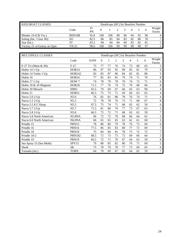| <b>KEELBOAT CLASSES</b>     | Handicaps (HC) by Beaufort Number |          |     |      |    |    |    |    |          |                  |  |
|-----------------------------|-----------------------------------|----------|-----|------|----|----|----|----|----------|------------------|--|
|                             | Code                              | D-<br>PN |     |      |    | 3  |    |    | $\sigma$ | Weight<br>Factor |  |
| Rhodes 19 (CB Ver.)         | RDS19B                            | 95.8     | 100 | l 00 | 98 | 96 | 94 | 92 | 90       |                  |  |
| Soling (Int., Class Jib)    | SO                                | 82.5     | 86  | 85   | 84 | 83 | 82 | 80 | 78       |                  |  |
| Star (Int.)                 | SТ                                | 83.2     | 84  | 84   | 84 | 84 | 83 | 82 | 81       |                  |  |
| Victory 21 w/Genoa, no Spin | VIC21                             | 98.6     | 100 | l 00 | 99 | 99 | 98 | 98 | 97       |                  |  |

| MULTIHULL CLASSES        | Handicaps (HC) by Beaufort Number |      |              |    |                |    |                |    |     |                  |  |
|--------------------------|-----------------------------------|------|--------------|----|----------------|----|----------------|----|-----|------------------|--|
|                          | Code                              | D-PN | $\mathbf{0}$ | 1  | $\overline{2}$ | 3  | $\overline{4}$ | 5  | 6   | Weight<br>Factor |  |
| F-27 Tri (Main & Jib)    | $F-27$                            | 75   | 77           | 77 | 76             | 74 | 73             | 68 | 65  | 3                |  |
| Hobie 14 1-Up            | HOB14                             | 86   | 97           | 95 | 92             | 89 | 85             | 81 | 79  | 9                |  |
| Hobie 14 Turbo 1-Up      | <b>HOB142</b>                     | 83   | 85           | 87 | 86             | 84 | 82             | 81 | 80  | 5                |  |
| Hobie 16                 | HOB16                             | 77   | 85           | 83 | 81             | 79 | 74             | 71 | 70  | 8                |  |
| Hobie 17 1-Up            | HOW 7                             | 74   | 78           | 79 | 78             | 76 | 74             | 72 | 71  | 6                |  |
| Hobie 18 & 18 Magnum     | HOB18                             | 71.5 | 77           | 76 | 74             | 72 | 70             | 68 | 66  | 8                |  |
| Hobie 20 Miracle         | <b>HMO</b>                        | 65.5 | 70           | 69 | 67             | 66 | 65             | 63 | '58 | 4                |  |
| Hobie 21                 | HOB21                             | 66.5 | 75           | 73 | 71             | 69 | 66             | 63 | 62  | 4                |  |
| Nacra 5.0 2-Up           | N5.0                              | 76   | 82           | 81 | 80             | 78 | 76             | 74 | 71  | $\overline{4}$   |  |
| Nacra 5.2 2-Up           | N5.2                              | 72   | 78           | 78 | 76             | 73 | 71             | 68 | 67  | 8                |  |
| Nacra 5.5 8.5' Sloop     | N5.5                              | 67.5 | 75           | 74 | 71             | 68 | 65             | 62 | 59  | 6                |  |
| Nacra 5.7 2-Up           | N5.7                              | 71.5 | 81           | 80 | 79             | 77 | 73             | 67 | 63  | 3                |  |
| Nacra 5.8 2-Up           | N5.8                              | 66.5 | 72           | 72 | 71             | 68 | 65             | 62 | 59  | $\tau$           |  |
| Nacra 5.8 North American | <b>N5.8NA</b>                     | 66   | 72           | 72 | 70             | 68 | 66             | 64 | 62  | $\overline{c}$   |  |
| Nacra 6.0 North American | N6.0NA                            | 66   | 65           | 65 | 65             | 63 | 62             | 61 | 60  | 3                |  |
| Prindle 15               | PRN15                             | 78   | 80           | 80 | 79             | 78 | 76             | 73 | 69  | 6                |  |
| Prindle 16               | PRN16                             | 77.5 | 86           | 85 | 83             | 80 | 77             | 72 | 69  | $\overline{7}$   |  |
| Prindle 18               | PRN18                             | 75   | 84           | 84 | 81             | 78 | 75             | 72 | 72  | $\tau$           |  |
| Prindle 18-2             | <b>PRN182</b>                     | 68.5 | 72           | 73 | 73             | 72 | 69             | 66 | 64  | 5                |  |
| Prindle 19               | <b>PRN19</b>                      | 66.5 | 72           | 71 | 70             | 67 | 64             | 63 | 59  | 8                |  |
| Sea Spray 15 (Sea Moth)  | SPY15                             | 79   | 88           | 85 | 82             | 80 | 76             | 71 | 69  | 5                |  |
| <b>Shark</b>             | <b>SK</b>                         | 75   | 78           | 79 | 78             | 77 | 73             | 69 | 65  | 6                |  |
| Tornado (Int.)           | <b>TORN</b>                       | 64   | 70           | 69 | 67             | 65 | 64             | 62 | 59  | $\tau$           |  |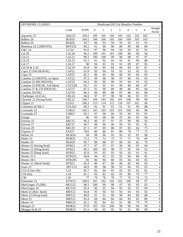| OFFSHORE CLASSES               |                   | Handicaps (HC) by Beaufort Number |                  |              |                 |                 |                 |                 |                 |                 |
|--------------------------------|-------------------|-----------------------------------|------------------|--------------|-----------------|-----------------|-----------------|-----------------|-----------------|-----------------|
|                                | Code              | D-PN                              | $\boldsymbol{0}$ | $\mathbf{1}$ | $\overline{2}$  | 3               | $\overline{4}$  | 5               | 6               | Weight          |
|                                |                   |                                   |                  |              |                 |                 |                 |                 |                 | Factor          |
| Aquarius 23                    | AQU23             | 104.2                             | 106              | 105          | 104             | 103             | 102             | 102             | 102             | 5               |
| Balboa 20                      | <b>BLB20</b>      | 104.1                             | 106              | 106          | 105             | 104             | 104             | 103             | 103             | $\overline{7}$  |
| Balboa 26                      | BLB26             | 93.7                              | 96               | 95           | 94              | 93              | 92              | 91              | 91              | 5               |
| Beneteau 23.5 (DKNVK)          | <b>BNT235</b>     | 89.2                              | 91               | 90           | 90              | 89              | 89              | 88              | 88              | 5               |
| <b>C&amp;C 24</b>              | C/C24             | 91.6                              | 97               | 96           | 94              | 93              | 92              | 92              | 91              | $\overline{4}$  |
| Cal 20                         | CAL <sub>20</sub> | 99.2                              | 100              | 101          | 101             | 100             | 98              | 96              | 94              | $\overline{7}$  |
| Cal 21                         | CAL21             | 98.3                              | 100              | 100          | 99              | 98              | 98              | 97              | 97              | $\overline{7}$  |
| Cal 25                         | CAL25             | 91.3                              | 91               | 92           | 93              | 92              | 91              | 90              | 88              | $8\,$           |
| Cal 27                         | CAL27             | 90                                | 94               | 93           | 92              | 91              | 89              | 87              | 85              | $\overline{4}$  |
| Cal 29 & 2-29                  | CAL29             | 83.8                              | 85               | 85           | 84              | 84              | 83              | 82              | 81              | 6               |
| Capri 22 (FK/SKNVK)            | CAP22             | 91.8                              | 93               | 94           | 93              | 92              | 92              | 92              | 92              | 5               |
| Capri 25                       | CAP25             | 85.1                              | 86               | 85           | 86              | 86              | 85              | 84              | 83              | $8\phantom{.}$  |
| Catalina 22 (SKNVK, no Spin)   | CAT22             | 97.3                              | 99               | 98           | 98              | 97              | 96              | 95              | 95              | 9               |
| Catalina 25 (FK/SKNVK)         | CAT25             | 94.3                              | 96               | 96           | 96              | 95              | 94              | 93              | 92              | $8\,$           |
| Catalina 25 (FK/SK, Tall Mast) | CAT25H            | 91.7                              | 91               | 92           | 91              | 90              | 89              | 88              | 87              | 5               |
| Catalina 27 & 270 (FKNVK)      | CAT27             | 87.5                              | 91               | 90           | 89              | 88              | 86              | 85              | 84              | 9               |
| Catalina 30 (FK)               | CAT30             | 86.3                              | 89               | 89           | 88              | 87              | 86              | 83              | 80              | 6               |
| Challenger 24 (Col.)           | CHL24             | 96.9                              | 97               | 97           | 98              | 98              | 96              | 95              | 93              | 6               |
| Chrysler 22 (Swing Keel)       | CRL22             | 100.7                             | 104              | 103          | 102             | 101             | 100             | 98              | 96              | 6               |
| Clipper 21                     | CLP21             | 108.3                             | 115              | 114          | 112             | 110             | 107             | 101             | 96              | $\overline{3}$  |
| Columbia 26 Mk 2               | <b>COL262</b>     | 90.3                              | 91               | 91           | 91              | 91              | 91              | 90              | 88              | $\tau$          |
| Coronado 23                    | COR23             | 102.5                             | 105              | 105          | 103             | 101             | 100             | 99              | 98              | $\overline{4}$  |
| Coronado 27                    | COR27             | 95.1                              | 97               | 96           | 96              | 95              | 94              | 93              | 91              | $\overline{3}$  |
| Ensign                         | EN                | 96                                | 99               | 98           | 98              | 97              | 96              | 93              | 90              | $\overline{7}$  |
| Ericson 25                     | ERC <sub>25</sub> | 96.3                              | 96               | 97           | 97              | 97              | 96              | 96              | 95              | $\overline{5}$  |
| Ericson 27                     | ERC <sub>27</sub> | 94.7                              | 96               | 96           | 96              | 95              | 93              | 92              | 91              | $\overline{3}$  |
| Ericson 29                     | ERC <sub>29</sub> | 87.3                              | 87               | 89           | 88              | 87              | 85              | 84              | 75              | $\overline{3}$  |
| Express 27                     | EXS27             | 78.6                              | 80               | 80           | 81              | 80              | 78              | 77              | 75              | $\overline{3}$  |
| Helms 24                       | HLM24             | 94                                | 98               | 96           | 95              | 93              | 92              | 91              | 90              | $\overline{4}$  |
| Hobie 33                       | HOB33             | $\overline{72.3}$                 | $\overline{73}$  | 73           | 73              | $\overline{72}$ | $\overline{71}$ | $\overline{70}$ | 69              | $\overline{4}$  |
| Holder 20                      | <b>HLR20</b>      | 85.7                              | 89               | 88           | 87              | 86              | 85              | 82              | 79              | $6\,$           |
| Hunter 22 (Swing Keel)         | HTR22             | 97.7                              | 97               | 97           | 97              | 96              | 96              | 95              | 94              | $\overline{3}$  |
| Hunter 23 (Wing Keel)          | HTR23             | 96.1                              | 100              | 99           | 98              | 97              | 95              | 94              | 93              | $\overline{4}$  |
| Hunter 25 (Deep Keel)          | HTR25             | 92.9                              | 93               | 93           | 93              | 92              | 92              | 91              | 91              | $\overline{3}$  |
| Hunter 25.5                    | <b>HTR255</b>     | 90.8                              | 94               | 93           | 93              | 92              | $\overline{90}$ | 86              | 85              | $\overline{4}$  |
| Hunter 28.5                    | <b>HTR285</b>     | 85                                | 86               | 86           | 86              | 85              | 84              | 83              | 83              | $\overline{4}$  |
| Hunter 31 (Shoal Draft)        | HTR31             | 85.4                              | 86               | 87           | 86              | 86              | 85              | 84              | 83              | $\overline{4}$  |
| Irwin 23                       | 1RVV23            | 96.9                              | 99               | 98           | 98              | 97              | 96              | 95              | 95              | $\overline{4}$  |
| J122 (Class Jib)               | $J-22$            | 82.7                              | 85               | 84           | 83              | 82              | 82              | 82              | 81              | $\overline{5}$  |
| $J/24$ (Int)                   | $J-24$            | 81.1                              | 83               | 83           | $\overline{82}$ | $\overline{81}$ | 80              | 79              | $\overline{77}$ | $\overline{9}$  |
| J/30                           | $J-30$            | 77                                | 79               | 78           | 78              | 77              | 76              | 74              | 73              | $5\overline{)}$ |
| Kittiwake 23                   | KTW23             | 100.6                             | 101              | 102          | 102             | 101             | 100             | 98              | 97              | $\overline{4}$  |
| MacGregor 25 (DB).             | MCG25             | 96.5                              | 100              | 99           | 98              | 97              | 95              | 93              | 92              | 6               |
| MacGregor 26                   | MCG26             | 92.4                              | 96               | 95           | 94              | 93              | 92              | 91              | 90              | $5\overline{)}$ |
| Merit 22 (Retr. Keel)          | MRT22             | 93.8                              | 95               | 94           | 93              | 93              | 93              | 93              | 93              | 6               |
| Merit 23 (Wing Keel)           | MRT23             | 88.8                              | 91               | 91           | 90              | 90              | 89              | 89              | 88              | $\overline{4}$  |
| Merit 25                       | MRT25             | 83.4                              | 84               | 84           | 84              | 84              | 83              | 82              | 80              | 8               |
| Moore 24                       | MRE24             | 82.2                              | 85               | 84           | 82              | 81              | 80              | 79              | 79              | $\overline{4}$  |
| Morgan 22                      | <b>MOR22</b>      | 97.8                              | 103              | 101          | 100             | 98              | 96              | 94              | 90              | $\overline{4}$  |
| Morgan 24 & 25                 | MOR25             | 91.5                              | 94               | 93           | 92              | 91              | 91              | 90              | 90              | 6               |